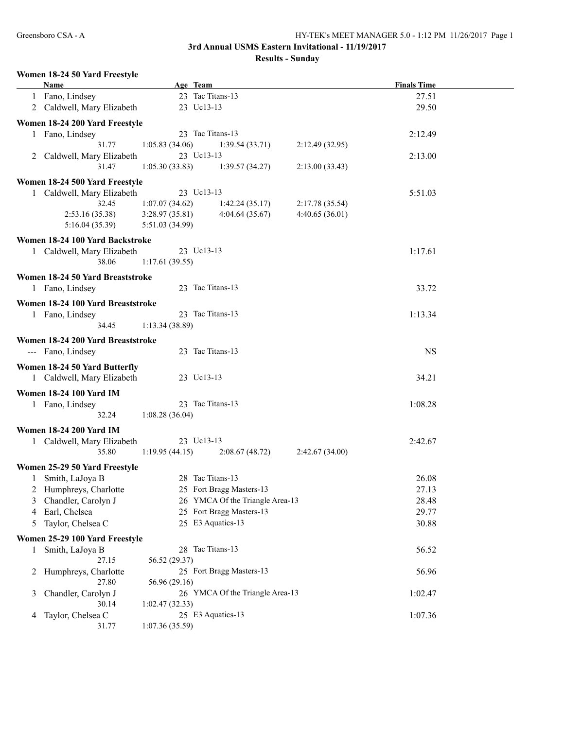**Results - Sunday**

## **Women 18-24 50 Yard Freestyle**

|              | <b>Name</b>                       |                 | Age Team                        |                | <b>Finals Time</b> |  |
|--------------|-----------------------------------|-----------------|---------------------------------|----------------|--------------------|--|
|              | 1 Fano, Lindsey                   |                 | 23 Tac Titans-13                |                | 27.51              |  |
|              | 2 Caldwell, Mary Elizabeth        |                 | 23 Uc13-13                      |                | 29.50              |  |
|              |                                   |                 |                                 |                |                    |  |
|              | Women 18-24 200 Yard Freestyle    |                 |                                 |                |                    |  |
|              | 1 Fano, Lindsey                   |                 | 23 Tac Titans-13                |                | 2:12.49            |  |
|              | 31.77                             | 1:05.83(34.06)  | 1:39.54(33.71)                  | 2:12.49(32.95) |                    |  |
|              | 2 Caldwell, Mary Elizabeth        |                 | 23 Uc13-13                      |                | 2:13.00            |  |
|              | 31.47                             | 1:05.30(33.83)  | 1:39.57(34.27)                  | 2:13.00(33.43) |                    |  |
|              | Women 18-24 500 Yard Freestyle    |                 |                                 |                |                    |  |
|              | Caldwell, Mary Elizabeth          |                 | 23 Uc13-13                      |                | 5:51.03            |  |
|              | 32.45                             | 1:07.07(34.62)  | 1:42.24(35.17)                  | 2:17.78(35.54) |                    |  |
|              | 2:53.16(35.38)                    | 3:28.97(35.81)  | 4:04.64(35.67)                  | 4:40.65(36.01) |                    |  |
|              | 5:16.04(35.39)                    | 5:51.03 (34.99) |                                 |                |                    |  |
|              | Women 18-24 100 Yard Backstroke   |                 |                                 |                |                    |  |
|              | 1 Caldwell, Mary Elizabeth        |                 | 23 Uc13-13                      |                | 1:17.61            |  |
|              | 38.06                             |                 |                                 |                |                    |  |
|              |                                   | 1:17.61(39.55)  |                                 |                |                    |  |
|              | Women 18-24 50 Yard Breaststroke  |                 |                                 |                |                    |  |
|              | 1 Fano, Lindsey                   |                 | 23 Tac Titans-13                |                | 33.72              |  |
|              | Women 18-24 100 Yard Breaststroke |                 |                                 |                |                    |  |
|              | 1 Fano, Lindsey                   |                 | 23 Tac Titans-13                |                | 1:13.34            |  |
|              | 34.45                             | 1:13.34(38.89)  |                                 |                |                    |  |
|              |                                   |                 |                                 |                |                    |  |
|              | Women 18-24 200 Yard Breaststroke |                 |                                 |                |                    |  |
|              | --- Fano, Lindsey                 |                 | 23 Tac Titans-13                |                | <b>NS</b>          |  |
|              | Women 18-24 50 Yard Butterfly     |                 |                                 |                |                    |  |
|              | 1 Caldwell, Mary Elizabeth        |                 | 23 Uc13-13                      |                | 34.21              |  |
|              |                                   |                 |                                 |                |                    |  |
|              | <b>Women 18-24 100 Yard IM</b>    |                 |                                 |                |                    |  |
|              | 1 Fano, Lindsey                   |                 | 23 Tac Titans-13                |                | 1:08.28            |  |
|              | 32.24                             | 1:08.28(36.04)  |                                 |                |                    |  |
|              | <b>Women 18-24 200 Yard IM</b>    |                 |                                 |                |                    |  |
|              | 1 Caldwell, Mary Elizabeth        |                 | 23 Uc13-13                      |                | 2:42.67            |  |
|              | 35.80                             | 1:19.95(44.15)  | 2:08.67(48.72)                  | 2:42.67(34.00) |                    |  |
|              | Women 25-29 50 Yard Freestyle     |                 |                                 |                |                    |  |
|              | Smith, LaJoya B                   |                 | 28 Tac Titans-13                |                | 26.08              |  |
|              | 2 Humphreys, Charlotte            |                 | 25 Fort Bragg Masters-13        |                | 27.13              |  |
|              |                                   |                 | 26 YMCA Of the Triangle Area-13 |                |                    |  |
| 3            | Chandler, Carolyn J               |                 |                                 |                | 28.48              |  |
| 4            | Earl, Chelsea                     |                 | 25 Fort Bragg Masters-13        |                | 29.77              |  |
| 5            | Taylor, Chelsea C                 |                 | 25 E3 Aquatics-13               |                | 30.88              |  |
|              | Women 25-29 100 Yard Freestyle    |                 |                                 |                |                    |  |
| $\mathbf{1}$ | Smith, LaJoya B                   |                 | 28 Tac Titans-13                |                | 56.52              |  |
|              | 27.15                             | 56.52 (29.37)   |                                 |                |                    |  |
|              | 2 Humphreys, Charlotte            |                 | 25 Fort Bragg Masters-13        |                | 56.96              |  |
|              | 27.80                             | 56.96 (29.16)   |                                 |                |                    |  |
| 3            | Chandler, Carolyn J               |                 | 26 YMCA Of the Triangle Area-13 |                | 1:02.47            |  |
|              | 30.14                             | 1:02.47(32.33)  |                                 |                |                    |  |
| 4            | Taylor, Chelsea C                 |                 | 25 E3 Aquatics-13               |                | 1:07.36            |  |
|              | 31.77                             | 1:07.36 (35.59) |                                 |                |                    |  |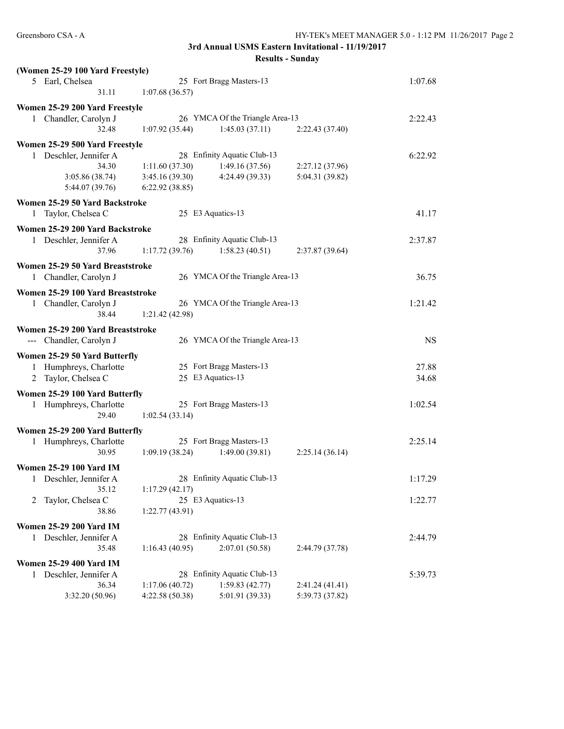| (Women 25-29 100 Yard Freestyle)              |                |                                 |                 |           |
|-----------------------------------------------|----------------|---------------------------------|-----------------|-----------|
| 5 Earl, Chelsea                               |                | 25 Fort Bragg Masters-13        |                 | 1:07.68   |
| 31.11                                         | 1:07.68(36.57) |                                 |                 |           |
| Women 25-29 200 Yard Freestyle                |                |                                 |                 |           |
| 1 Chandler, Carolyn J                         |                | 26 YMCA Of the Triangle Area-13 |                 | 2:22.43   |
| 32.48                                         | 1:07.92(35.44) | 1:45.03(37.11)                  | 2:22.43(37.40)  |           |
| Women 25-29 500 Yard Freestyle                |                |                                 |                 |           |
| 1 Deschler, Jennifer A                        |                | 28 Enfinity Aquatic Club-13     |                 | 6:22.92   |
| 34.30                                         | 1:11.60(37.30) | 1:49.16(37.56)                  | 2:27.12 (37.96) |           |
| 3:05.86 (38.74)                               | 3:45.16(39.30) | 4:24.49(39.33)                  | 5:04.31 (39.82) |           |
| 5:44.07 (39.76)                               | 6:22.92(38.85) |                                 |                 |           |
| Women 25-29 50 Yard Backstroke                |                |                                 |                 |           |
| 1 Taylor, Chelsea C                           |                | 25 E3 Aquatics-13               |                 | 41.17     |
| Women 25-29 200 Yard Backstroke               |                |                                 |                 |           |
| 1 Deschler, Jennifer A                        |                | 28 Enfinity Aquatic Club-13     |                 | 2:37.87   |
| 37.96                                         | 1:17.72(39.76) | 1:58.23(40.51)                  | 2:37.87(39.64)  |           |
|                                               |                |                                 |                 |           |
| Women 25-29 50 Yard Breaststroke              |                | 26 YMCA Of the Triangle Area-13 |                 |           |
| 1 Chandler, Carolyn J                         |                |                                 |                 | 36.75     |
| Women 25-29 100 Yard Breaststroke             |                |                                 |                 |           |
| 1 Chandler, Carolyn J                         |                | 26 YMCA Of the Triangle Area-13 |                 | 1:21.42   |
| 38.44                                         | 1:21.42(42.98) |                                 |                 |           |
| Women 25-29 200 Yard Breaststroke             |                |                                 |                 |           |
|                                               |                |                                 |                 |           |
| --- Chandler, Carolyn J                       |                | 26 YMCA Of the Triangle Area-13 |                 | <b>NS</b> |
|                                               |                |                                 |                 |           |
| Women 25-29 50 Yard Butterfly                 |                | 25 Fort Bragg Masters-13        |                 | 27.88     |
| 1 Humphreys, Charlotte<br>2 Taylor, Chelsea C |                | 25 E3 Aquatics-13               |                 | 34.68     |
|                                               |                |                                 |                 |           |
| Women 25-29 100 Yard Butterfly                |                |                                 |                 |           |
| Humphreys, Charlotte<br>1                     |                | 25 Fort Bragg Masters-13        |                 | 1:02.54   |
| 29.40                                         | 1:02.54(33.14) |                                 |                 |           |
| Women 25-29 200 Yard Butterfly                |                |                                 |                 |           |
| 1 Humphreys, Charlotte                        |                | 25 Fort Bragg Masters-13        |                 | 2:25.14   |
| 30.95                                         | 1:09.19(38.24) | 1:49.00(39.81)                  | 2:25.14(36.14)  |           |
| <b>Women 25-29 100 Yard IM</b>                |                |                                 |                 |           |
| Deschler, Jennifer A<br>1                     |                | 28 Enfinity Aquatic Club-13     |                 | 1:17.29   |
| 35.12                                         | 1:17.29(42.17) |                                 |                 |           |
| Taylor, Chelsea C<br>2                        |                | 25 E3 Aquatics-13               |                 | 1:22.77   |
| 38.86                                         | 1:22.77(43.91) |                                 |                 |           |
| <b>Women 25-29 200 Yard IM</b>                |                |                                 |                 |           |
| Deschler, Jennifer A<br>1                     |                | 28 Enfinity Aquatic Club-13     |                 | 2:44.79   |
| 35.48                                         | 1:16.43(40.95) | 2:07.01 (50.58)                 | 2:44.79 (37.78) |           |
| <b>Women 25-29 400 Yard IM</b>                |                |                                 |                 |           |
| Deschler, Jennifer A<br>$\mathbf{1}$          |                | 28 Enfinity Aquatic Club-13     |                 | 5:39.73   |
| 36.34                                         | 1:17.06(40.72) | 1:59.83(42.77)                  | 2:41.24(41.41)  |           |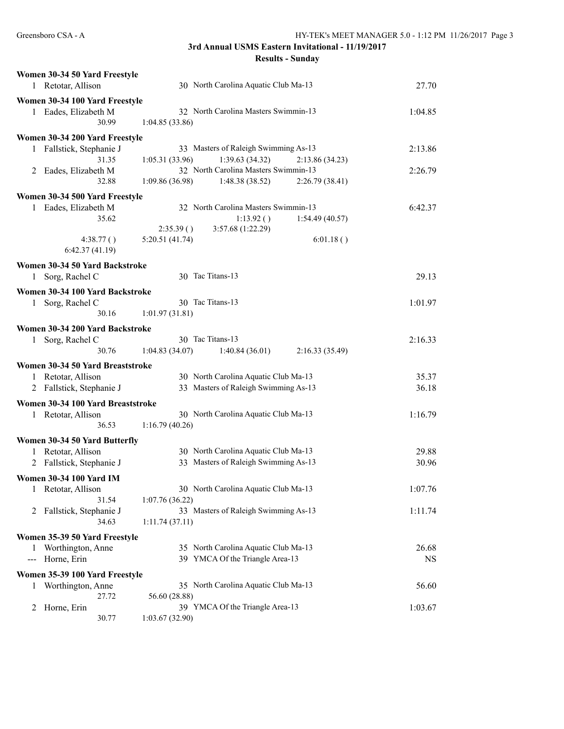|               | Women 30-34 50 Yard Freestyle                       |                                                     |           |
|---------------|-----------------------------------------------------|-----------------------------------------------------|-----------|
|               | 1 Retotar, Allison                                  | 30 North Carolina Aquatic Club Ma-13                | 27.70     |
|               | Women 30-34 100 Yard Freestyle                      |                                                     |           |
|               | 1 Eades, Elizabeth M                                | 32 North Carolina Masters Swimmin-13                | 1:04.85   |
|               | 30.99                                               | 1:04.85(33.86)                                      |           |
|               | Women 30-34 200 Yard Freestyle                      |                                                     |           |
|               | 1 Fallstick, Stephanie J                            | 33 Masters of Raleigh Swimming As-13                | 2:13.86   |
|               | 31.35                                               | 1:39.63(34.32)<br>1:05.31(33.96)<br>2:13.86 (34.23) |           |
|               | 2 Eades, Elizabeth M                                | 32 North Carolina Masters Swimmin-13                | 2:26.79   |
|               | 32.88                                               | 1:09.86(36.98)<br>1:48.38(38.52)<br>2:26.79(38.41)  |           |
|               | Women 30-34 500 Yard Freestyle                      |                                                     |           |
| 1             | Eades, Elizabeth M                                  | 32 North Carolina Masters Swimmin-13                | 6:42.37   |
|               | 35.62                                               | 1:13.92()<br>1:54.49(40.57)                         |           |
|               |                                                     | 3:57.68 (1:22.29)<br>2:35.39()                      |           |
|               | 4:38.77()<br>6:42.37(41.19)                         | 5:20.51(41.74)<br>6:01.18()                         |           |
|               | Women 30-34 50 Yard Backstroke                      |                                                     |           |
|               | 1 Sorg, Rachel C                                    | 30 Tac Titans-13                                    | 29.13     |
|               | Women 30-34 100 Yard Backstroke                     |                                                     |           |
|               | 1 Sorg, Rachel C                                    | 30 Tac Titans-13                                    | 1:01.97   |
|               | 30.16                                               | 1:01.97(31.81)                                      |           |
|               |                                                     |                                                     |           |
|               | Women 30-34 200 Yard Backstroke<br>1 Sorg, Rachel C | 30 Tac Titans-13                                    | 2:16.33   |
|               | 30.76                                               | 1:04.83(34.07)<br>1:40.84(36.01)<br>2:16.33(35.49)  |           |
|               |                                                     |                                                     |           |
|               | Women 30-34 50 Yard Breaststroke                    |                                                     |           |
|               | 1 Retotar, Allison                                  | 30 North Carolina Aquatic Club Ma-13                | 35.37     |
| 2             | Fallstick, Stephanie J                              | 33 Masters of Raleigh Swimming As-13                | 36.18     |
|               | Women 30-34 100 Yard Breaststroke                   |                                                     |           |
|               | 1 Retotar, Allison                                  | 30 North Carolina Aquatic Club Ma-13                | 1:16.79   |
|               | 36.53                                               | 1:16.79(40.26)                                      |           |
|               | Women 30-34 50 Yard Butterfly                       |                                                     |           |
|               | 1 Retotar, Allison                                  | 30 North Carolina Aquatic Club Ma-13                | 29.88     |
|               | 2 Fallstick, Stephanie J                            | 33 Masters of Raleigh Swimming As-13                | 30.96     |
|               | <b>Women 30-34 100 Yard IM</b>                      |                                                     |           |
| 1             | Retotar, Allison                                    | 30 North Carolina Aquatic Club Ma-13                | 1:07.76   |
|               | 31.54                                               | 1:07.76(36.22)                                      |           |
| 2             | Fallstick, Stephanie J                              | 33 Masters of Raleigh Swimming As-13                | 1:11.74   |
|               | 34.63                                               | 1:11.74(37.11)                                      |           |
|               | Women 35-39 50 Yard Freestyle                       |                                                     |           |
| 1             | Worthington, Anne                                   | 35 North Carolina Aquatic Club Ma-13                | 26.68     |
| $\sim$ $\sim$ | Horne, Erin                                         | 39 YMCA Of the Triangle Area-13                     | <b>NS</b> |
|               | Women 35-39 100 Yard Freestyle                      |                                                     |           |
| 1             | Worthington, Anne                                   | 35 North Carolina Aquatic Club Ma-13                | 56.60     |
|               | 27.72                                               | 56.60 (28.88)                                       |           |
| 2             | Horne, Erin                                         | 39 YMCA Of the Triangle Area-13                     | 1:03.67   |
|               | 30.77                                               | 1:03.67(32.90)                                      |           |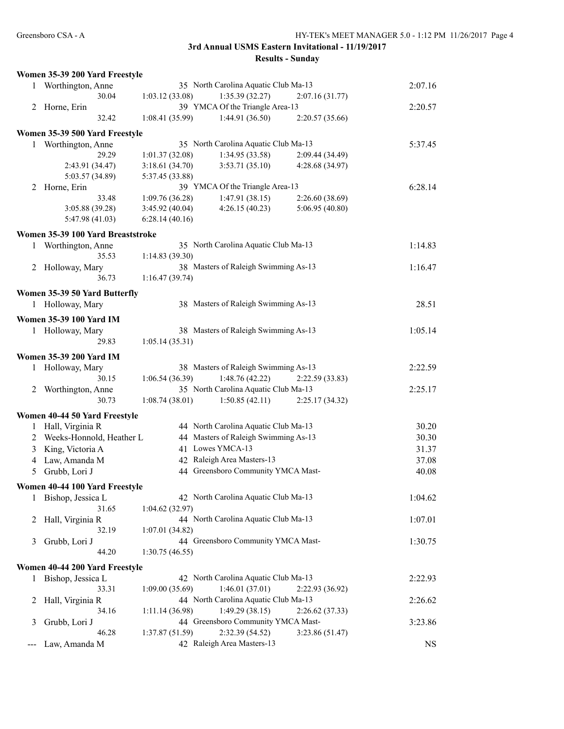|       | Women 35-39 200 Yard Freestyle    |                 |                                      |                 |           |
|-------|-----------------------------------|-----------------|--------------------------------------|-----------------|-----------|
|       | 1 Worthington, Anne               |                 | 35 North Carolina Aquatic Club Ma-13 |                 | 2:07.16   |
|       | 30.04                             | 1:03.12(33.08)  | 1:35.39(32.27)                       | 2:07.16(31.77)  |           |
|       | 2 Horne, Erin                     |                 | 39 YMCA Of the Triangle Area-13      |                 | 2:20.57   |
|       | 32.42                             | 1:08.41(35.99)  | 1:44.91 (36.50)                      | 2:20.57(35.66)  |           |
|       |                                   |                 |                                      |                 |           |
|       | Women 35-39 500 Yard Freestyle    |                 |                                      |                 |           |
|       | 1 Worthington, Anne               |                 | 35 North Carolina Aquatic Club Ma-13 |                 | 5:37.45   |
|       | 29.29                             | 1:01.37(32.08)  | 1:34.95(33.58)                       | 2:09.44 (34.49) |           |
|       | 2:43.91 (34.47)                   | 3:18.61(34.70)  | 3:53.71(35.10)                       | 4:28.68 (34.97) |           |
|       | 5:03.57 (34.89)                   | 5:37.45 (33.88) |                                      |                 |           |
|       | 2 Horne, Erin                     |                 | 39 YMCA Of the Triangle Area-13      |                 | 6:28.14   |
|       | 33.48                             | 1:09.76(36.28)  | 1:47.91(38.15)                       | 2:26.60(38.69)  |           |
|       | 3:05.88 (39.28)                   | 3:45.92(40.04)  | 4:26.15(40.23)                       | 5:06.95 (40.80) |           |
|       | 5:47.98(41.03)                    | 6:28.14(40.16)  |                                      |                 |           |
|       |                                   |                 |                                      |                 |           |
|       | Women 35-39 100 Yard Breaststroke |                 |                                      |                 |           |
| 1     | Worthington, Anne                 |                 | 35 North Carolina Aquatic Club Ma-13 |                 | 1:14.83   |
|       | 35.53                             | 1:14.83(39.30)  |                                      |                 |           |
|       | 2 Holloway, Mary                  |                 | 38 Masters of Raleigh Swimming As-13 |                 | 1:16.47   |
|       | 36.73                             | 1:16.47(39.74)  |                                      |                 |           |
|       | Women 35-39 50 Yard Butterfly     |                 |                                      |                 |           |
|       | 1 Holloway, Mary                  |                 | 38 Masters of Raleigh Swimming As-13 |                 |           |
|       |                                   |                 |                                      |                 | 28.51     |
|       | <b>Women 35-39 100 Yard IM</b>    |                 |                                      |                 |           |
|       | 1 Holloway, Mary                  |                 | 38 Masters of Raleigh Swimming As-13 |                 | 1:05.14   |
|       | 29.83                             | 1:05.14(35.31)  |                                      |                 |           |
|       |                                   |                 |                                      |                 |           |
|       | <b>Women 35-39 200 Yard IM</b>    |                 |                                      |                 |           |
| 1     | Holloway, Mary                    |                 | 38 Masters of Raleigh Swimming As-13 |                 | 2:22.59   |
|       | 30.15                             | 1:06.54(36.39)  | 1:48.76 (42.22)                      | 2:22.59 (33.83) |           |
|       | 2 Worthington, Anne               |                 | 35 North Carolina Aquatic Club Ma-13 |                 | 2:25.17   |
|       | 30.73                             | 1:08.74(38.01)  | 1:50.85(42.11)                       | 2:25.17(34.32)  |           |
|       | Women 40-44 50 Yard Freestyle     |                 |                                      |                 |           |
|       |                                   |                 | 44 North Carolina Aquatic Club Ma-13 |                 | 30.20     |
|       | 1 Hall, Virginia R                |                 |                                      |                 |           |
| 2     | Weeks-Honnold, Heather L          |                 | 44 Masters of Raleigh Swimming As-13 |                 | 30.30     |
|       | 3 King, Victoria A                |                 | 41 Lowes YMCA-13                     |                 | 31.37     |
|       | 4 Law, Amanda M                   |                 | 42 Raleigh Area Masters-13           |                 | 37.08     |
| 5     | Grubb, Lori J                     |                 | 44 Greensboro Community YMCA Mast-   |                 | 40.08     |
|       |                                   |                 |                                      |                 |           |
|       | Women 40-44 100 Yard Freestyle    |                 |                                      |                 |           |
|       | 1 Bishop, Jessica L               |                 | 42 North Carolina Aquatic Club Ma-13 |                 | 1:04.62   |
|       | 31.65                             | 1:04.62(32.97)  |                                      |                 |           |
| 2     | Hall, Virginia R                  |                 | 44 North Carolina Aquatic Club Ma-13 |                 | 1:07.01   |
|       | 32.19                             | 1:07.01(34.82)  |                                      |                 |           |
| 3     | Grubb, Lori J                     |                 | 44 Greensboro Community YMCA Mast-   |                 | 1:30.75   |
|       | 44.20                             | 1:30.75(46.55)  |                                      |                 |           |
|       |                                   |                 |                                      |                 |           |
|       | Women 40-44 200 Yard Freestyle    |                 |                                      |                 |           |
|       | 1 Bishop, Jessica L               |                 | 42 North Carolina Aquatic Club Ma-13 |                 | 2:22.93   |
|       | 33.31                             | 1:09.00(35.69)  | 1:46.01(37.01)                       | 2:22.93 (36.92) |           |
| 2     | Hall, Virginia R                  |                 | 44 North Carolina Aquatic Club Ma-13 |                 | 2:26.62   |
|       | 34.16                             | 1:11.14(36.98)  | 1:49.29(38.15)                       | 2:26.62(37.33)  |           |
| 3     | Grubb, Lori J                     |                 | 44 Greensboro Community YMCA Mast-   |                 | 3:23.86   |
|       | 46.28                             | 1:37.87(51.59)  | 2:32.39 (54.52)                      | 3:23.86(51.47)  |           |
| $---$ | Law, Amanda M                     |                 | 42 Raleigh Area Masters-13           |                 | <b>NS</b> |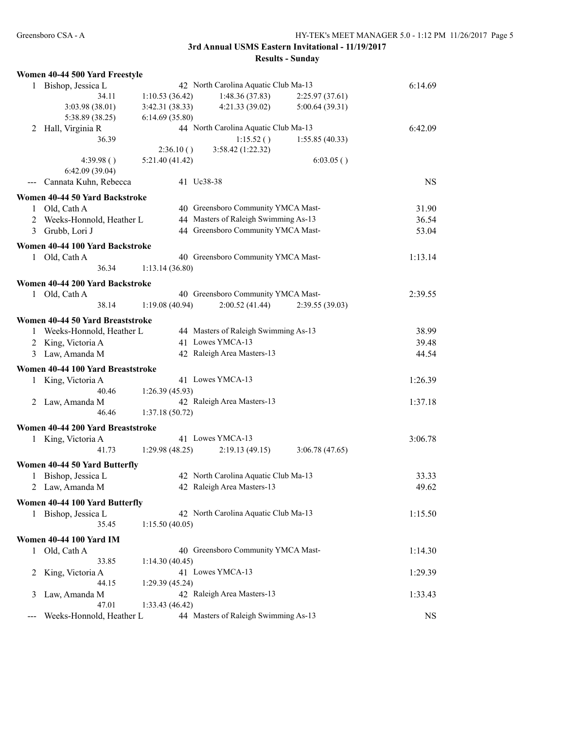|   | Women 40-44 500 Yard Freestyle                        |                 |                                      |                |           |
|---|-------------------------------------------------------|-----------------|--------------------------------------|----------------|-----------|
|   | 1 Bishop, Jessica L                                   |                 | 42 North Carolina Aquatic Club Ma-13 |                | 6:14.69   |
|   | 34.11                                                 | 1:10.53(36.42)  | 1:48.36(37.83)                       | 2:25.97(37.61) |           |
|   | 3:03.98 (38.01)                                       | 3:42.31(38.33)  | 4:21.33 (39.02)                      | 5:00.64(39.31) |           |
|   | 5:38.89 (38.25)                                       | 6:14.69 (35.80) |                                      |                |           |
| 2 | Hall, Virginia R                                      |                 | 44 North Carolina Aquatic Club Ma-13 |                | 6:42.09   |
|   | 36.39                                                 |                 | 1:15.52()                            | 1:55.85(40.33) |           |
|   |                                                       | 2:36.10()       | 3:58.42 (1:22.32)                    |                |           |
|   | 4:39.98()                                             | 5:21.40(41.42)  |                                      | 6:03.05()      |           |
|   | 6:42.09(39.04)                                        |                 |                                      |                |           |
|   | Cannata Kuhn, Rebecca                                 |                 | 41 Uc38-38                           |                | <b>NS</b> |
|   | Women 40-44 50 Yard Backstroke                        |                 |                                      |                |           |
|   | 1 Old, Cath A                                         |                 | 40 Greensboro Community YMCA Mast-   |                | 31.90     |
|   | 2 Weeks-Honnold, Heather L                            |                 | 44 Masters of Raleigh Swimming As-13 |                | 36.54     |
|   | 3 Grubb, Lori J                                       |                 | 44 Greensboro Community YMCA Mast-   |                | 53.04     |
|   | Women 40-44 100 Yard Backstroke                       |                 |                                      |                |           |
|   |                                                       |                 | 40 Greensboro Community YMCA Mast-   |                |           |
|   | 1 Old, Cath A<br>36.34                                |                 |                                      |                | 1:13.14   |
|   |                                                       | 1:13.14(36.80)  |                                      |                |           |
|   | Women 40-44 200 Yard Backstroke                       |                 |                                      |                |           |
|   | 1 Old, Cath A                                         |                 | 40 Greensboro Community YMCA Mast-   |                | 2:39.55   |
|   | 38.14                                                 | 1:19.08(40.94)  | 2:00.52(41.44)                       | 2:39.55(39.03) |           |
|   | Women 40-44 50 Yard Breaststroke                      |                 |                                      |                |           |
|   | 1 Weeks-Honnold, Heather L                            |                 | 44 Masters of Raleigh Swimming As-13 |                | 38.99     |
|   | 2 King, Victoria A                                    |                 | 41 Lowes YMCA-13                     |                | 39.48     |
|   | 3 Law, Amanda M                                       |                 | 42 Raleigh Area Masters-13           |                | 44.54     |
|   |                                                       |                 |                                      |                |           |
|   | Women 40-44 100 Yard Breaststroke                     |                 | 41 Lowes YMCA-13                     |                | 1:26.39   |
| 1 | King, Victoria A<br>40.46                             |                 |                                      |                |           |
|   |                                                       | 1:26.39(45.93)  | 42 Raleigh Area Masters-13           |                | 1:37.18   |
|   | 2 Law, Amanda M<br>46.46                              | 1:37.18(50.72)  |                                      |                |           |
|   |                                                       |                 |                                      |                |           |
|   | Women 40-44 200 Yard Breaststroke                     |                 |                                      |                |           |
|   | 1 King, Victoria A                                    |                 | 41 Lowes YMCA-13                     |                | 3:06.78   |
|   | 41.73                                                 | 1:29.98(48.25)  | 2:19.13(49.15)                       | 3:06.78(47.65) |           |
|   | Women 40-44 50 Yard Butterfly                         |                 |                                      |                |           |
|   | 1 Bishop, Jessica L                                   |                 | 42 North Carolina Aquatic Club Ma-13 |                | 33.33     |
| 2 | Law, Amanda M                                         |                 | 42 Raleigh Area Masters-13           |                | 49.62     |
|   |                                                       |                 |                                      |                |           |
|   | Women 40-44 100 Yard Butterfly<br>1 Bishop, Jessica L |                 | 42 North Carolina Aquatic Club Ma-13 |                |           |
|   | 35.45                                                 | 1:15.50(40.05)  |                                      |                | 1:15.50   |
|   |                                                       |                 |                                      |                |           |
|   | <b>Women 40-44 100 Yard IM</b>                        |                 |                                      |                |           |
| 1 | Old, Cath A                                           |                 | 40 Greensboro Community YMCA Mast-   |                | 1:14.30   |
|   | 33.85                                                 | 1:14.30(40.45)  |                                      |                |           |
| 2 | King, Victoria A                                      |                 | 41 Lowes YMCA-13                     |                | 1:29.39   |
|   | 44.15                                                 | 1:29.39(45.24)  |                                      |                |           |
| 3 | Law, Amanda M                                         |                 | 42 Raleigh Area Masters-13           |                | 1:33.43   |
|   | 47.01                                                 | 1:33.43(46.42)  |                                      |                |           |
|   | Weeks-Honnold, Heather L                              |                 | 44 Masters of Raleigh Swimming As-13 |                | <b>NS</b> |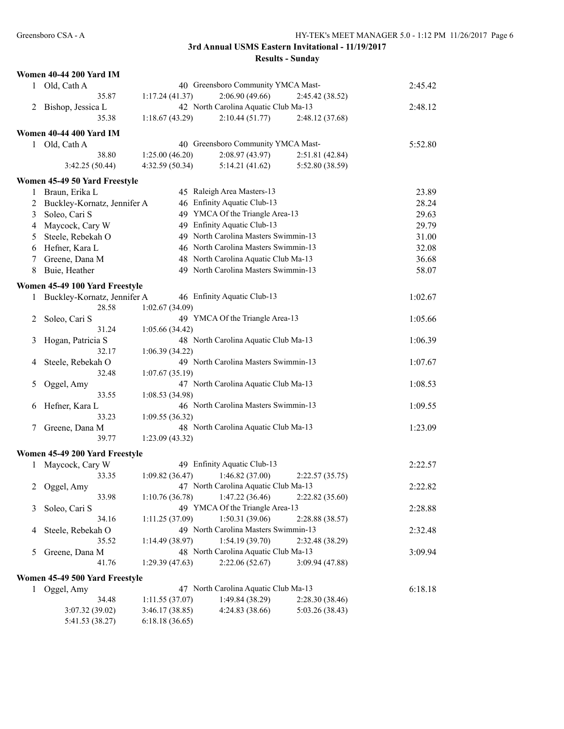|   | <b>Women 40-44 200 Yard IM</b> |                 |                                      |                 |         |
|---|--------------------------------|-----------------|--------------------------------------|-----------------|---------|
|   | 1 Old, Cath A                  |                 | 40 Greensboro Community YMCA Mast-   |                 | 2:45.42 |
|   | 35.87                          | 1:17.24(41.37)  | 2:06.90(49.66)                       | 2:45.42 (38.52) |         |
| 2 | Bishop, Jessica L              |                 | 42 North Carolina Aquatic Club Ma-13 |                 | 2:48.12 |
|   | 35.38                          | 1:18.67(43.29)  | 2:10.44(51.77)                       | 2:48.12(37.68)  |         |
|   | Women 40-44 400 Yard IM        |                 |                                      |                 |         |
|   | 1 Old, Cath A                  |                 | 40 Greensboro Community YMCA Mast-   |                 | 5:52.80 |
|   | 38.80                          | 1:25.00(46.20)  | 2:08.97(43.97)                       | 2:51.81 (42.84) |         |
|   | 3:42.25(50.44)                 | 4:32.59 (50.34) | 5:14.21(41.62)                       | 5:52.80 (38.59) |         |
|   | Women 45-49 50 Yard Freestyle  |                 |                                      |                 |         |
| 1 | Braun, Erika L                 |                 | 45 Raleigh Area Masters-13           |                 | 23.89   |
| 2 | Buckley-Kornatz, Jennifer A    |                 | 46 Enfinity Aquatic Club-13          |                 | 28.24   |
|   |                                |                 | 49 YMCA Of the Triangle Area-13      |                 | 29.63   |
| 3 | Soleo, Cari S                  |                 | 49 Enfinity Aquatic Club-13          |                 |         |
| 4 | Maycock, Cary W                |                 | 49 North Carolina Masters Swimmin-13 |                 | 29.79   |
| 5 | Steele, Rebekah O              |                 |                                      |                 | 31.00   |
| 6 | Hefner, Kara L                 |                 | 46 North Carolina Masters Swimmin-13 |                 | 32.08   |
| 7 | Greene, Dana M                 |                 | 48 North Carolina Aquatic Club Ma-13 |                 | 36.68   |
| 8 | Buie, Heather                  |                 | 49 North Carolina Masters Swimmin-13 |                 | 58.07   |
|   | Women 45-49 100 Yard Freestyle |                 |                                      |                 |         |
| 1 | Buckley-Kornatz, Jennifer A    |                 | 46 Enfinity Aquatic Club-13          |                 | 1:02.67 |
|   | 28.58                          | 1:02.67(34.09)  |                                      |                 |         |
| 2 | Soleo, Cari S                  |                 | 49 YMCA Of the Triangle Area-13      |                 | 1:05.66 |
|   | 31.24                          | 1:05.66(34.42)  |                                      |                 |         |
| 3 | Hogan, Patricia S              |                 | 48 North Carolina Aquatic Club Ma-13 |                 | 1:06.39 |
|   | 32.17                          | 1:06.39(34.22)  |                                      |                 |         |
| 4 | Steele, Rebekah O              |                 | 49 North Carolina Masters Swimmin-13 |                 | 1:07.67 |
|   | 32.48                          | 1:07.67(35.19)  |                                      |                 |         |
| 5 | Oggel, Amy                     |                 | 47 North Carolina Aquatic Club Ma-13 |                 | 1:08.53 |
|   | 33.55                          | 1:08.53(34.98)  |                                      |                 |         |
| 6 | Hefner, Kara L                 |                 | 46 North Carolina Masters Swimmin-13 |                 | 1:09.55 |
|   | 33.23                          | 1:09.55 (36.32) |                                      |                 |         |
| 7 | Greene, Dana M                 |                 | 48 North Carolina Aquatic Club Ma-13 |                 | 1:23.09 |
|   | 39.77                          | 1:23.09(43.32)  |                                      |                 |         |
|   | Women 45-49 200 Yard Freestyle |                 |                                      |                 |         |
| 1 | Maycock, Cary W                |                 | 49 Enfinity Aquatic Club-13          |                 | 2:22.57 |
|   | 33.35                          | 1:09.82 (36.47) | 1:46.82(37.00)                       | 2:22.57(35.75)  |         |
| 2 | Oggel, Amy                     |                 | 47 North Carolina Aquatic Club Ma-13 |                 | 2:22.82 |
|   | 33.98                          | 1:10.76(36.78)  | 1:47.22(36.46)                       | 2:22.82(35.60)  |         |
| 3 | Soleo, Cari S                  |                 | 49 YMCA Of the Triangle Area-13      |                 | 2:28.88 |
|   | 34.16                          | 1:11.25(37.09)  | 1:50.31(39.06)                       | 2:28.88 (38.57) |         |
| 4 | Steele, Rebekah O              |                 | 49 North Carolina Masters Swimmin-13 |                 | 2:32.48 |
|   | 35.52                          | 1:14.49(38.97)  | 1:54.19(39.70)                       | 2:32.48 (38.29) |         |
| 5 | Greene, Dana M                 |                 | 48 North Carolina Aquatic Club Ma-13 |                 | 3:09.94 |
|   | 41.76                          | 1:29.39(47.63)  | 2:22.06(52.67)                       | 3:09.94 (47.88) |         |
|   |                                |                 |                                      |                 |         |
|   | Women 45-49 500 Yard Freestyle |                 |                                      |                 |         |
|   | 1 Oggel, Amy                   |                 | 47 North Carolina Aquatic Club Ma-13 |                 | 6:18.18 |
|   | 34.48                          | 1:11.55(37.07)  | 1:49.84 (38.29)                      | 2:28.30(38.46)  |         |
|   | 3:07.32 (39.02)                | 3:46.17 (38.85) | 4:24.83 (38.66)                      | 5:03.26 (38.43) |         |
|   | 5:41.53 (38.27)                | 6:18.18(36.65)  |                                      |                 |         |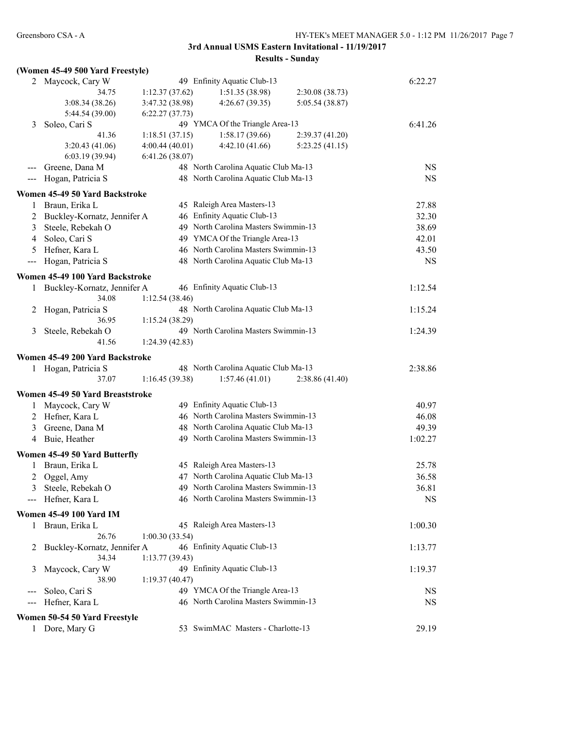## **(Women 45-49 500 Yard Freestyle)**

| Maycock, Cary W<br>34.75<br>3:08.34(38.26)<br>5:44.54 (39.00)<br>Soleo, Cari S<br>41.36<br>3:20.43 (41.06)<br>6:03.19(39.94)<br>Greene, Dana M | 1:12.37(37.62)<br>3:47.32 (38.98)<br>6:22.27(37.73)<br>1:18.51(37.15)<br>4:00.44(40.01)<br>6:41.26(38.07)                                                                                                                                                                          | 49 Enfinity Aquatic Club-13<br>1:51.35(38.98)<br>4:26.67(39.35)<br>49 YMCA Of the Triangle Area-13<br>1:58.17(39.66)<br>4:42.10(41.66)                               | 2:30.08(38.73)<br>5:05.54 (38.87)<br>2:39.37(41.20)                                                                                                                                                                                                                | 6:22.27<br>6:41.26                                                                                                                                                                                                                                                                                                                                                                                                                                                                                                                                |
|------------------------------------------------------------------------------------------------------------------------------------------------|------------------------------------------------------------------------------------------------------------------------------------------------------------------------------------------------------------------------------------------------------------------------------------|----------------------------------------------------------------------------------------------------------------------------------------------------------------------|--------------------------------------------------------------------------------------------------------------------------------------------------------------------------------------------------------------------------------------------------------------------|---------------------------------------------------------------------------------------------------------------------------------------------------------------------------------------------------------------------------------------------------------------------------------------------------------------------------------------------------------------------------------------------------------------------------------------------------------------------------------------------------------------------------------------------------|
|                                                                                                                                                |                                                                                                                                                                                                                                                                                    |                                                                                                                                                                      |                                                                                                                                                                                                                                                                    |                                                                                                                                                                                                                                                                                                                                                                                                                                                                                                                                                   |
|                                                                                                                                                |                                                                                                                                                                                                                                                                                    |                                                                                                                                                                      |                                                                                                                                                                                                                                                                    |                                                                                                                                                                                                                                                                                                                                                                                                                                                                                                                                                   |
|                                                                                                                                                |                                                                                                                                                                                                                                                                                    |                                                                                                                                                                      |                                                                                                                                                                                                                                                                    |                                                                                                                                                                                                                                                                                                                                                                                                                                                                                                                                                   |
|                                                                                                                                                |                                                                                                                                                                                                                                                                                    |                                                                                                                                                                      |                                                                                                                                                                                                                                                                    |                                                                                                                                                                                                                                                                                                                                                                                                                                                                                                                                                   |
|                                                                                                                                                |                                                                                                                                                                                                                                                                                    |                                                                                                                                                                      |                                                                                                                                                                                                                                                                    |                                                                                                                                                                                                                                                                                                                                                                                                                                                                                                                                                   |
|                                                                                                                                                |                                                                                                                                                                                                                                                                                    |                                                                                                                                                                      | 5:23.25(41.15)                                                                                                                                                                                                                                                     |                                                                                                                                                                                                                                                                                                                                                                                                                                                                                                                                                   |
|                                                                                                                                                |                                                                                                                                                                                                                                                                                    |                                                                                                                                                                      |                                                                                                                                                                                                                                                                    |                                                                                                                                                                                                                                                                                                                                                                                                                                                                                                                                                   |
|                                                                                                                                                |                                                                                                                                                                                                                                                                                    | 48 North Carolina Aquatic Club Ma-13                                                                                                                                 |                                                                                                                                                                                                                                                                    | <b>NS</b>                                                                                                                                                                                                                                                                                                                                                                                                                                                                                                                                         |
| Hogan, Patricia S                                                                                                                              |                                                                                                                                                                                                                                                                                    | 48 North Carolina Aquatic Club Ma-13                                                                                                                                 |                                                                                                                                                                                                                                                                    | <b>NS</b>                                                                                                                                                                                                                                                                                                                                                                                                                                                                                                                                         |
|                                                                                                                                                |                                                                                                                                                                                                                                                                                    |                                                                                                                                                                      |                                                                                                                                                                                                                                                                    |                                                                                                                                                                                                                                                                                                                                                                                                                                                                                                                                                   |
| Women 45-49 50 Yard Backstroke                                                                                                                 |                                                                                                                                                                                                                                                                                    |                                                                                                                                                                      |                                                                                                                                                                                                                                                                    |                                                                                                                                                                                                                                                                                                                                                                                                                                                                                                                                                   |
| Braun, Erika L                                                                                                                                 |                                                                                                                                                                                                                                                                                    | 45 Raleigh Area Masters-13                                                                                                                                           |                                                                                                                                                                                                                                                                    | 27.88                                                                                                                                                                                                                                                                                                                                                                                                                                                                                                                                             |
|                                                                                                                                                |                                                                                                                                                                                                                                                                                    |                                                                                                                                                                      |                                                                                                                                                                                                                                                                    | 32.30                                                                                                                                                                                                                                                                                                                                                                                                                                                                                                                                             |
| Steele, Rebekah O                                                                                                                              |                                                                                                                                                                                                                                                                                    |                                                                                                                                                                      |                                                                                                                                                                                                                                                                    | 38.69                                                                                                                                                                                                                                                                                                                                                                                                                                                                                                                                             |
| Soleo, Cari S                                                                                                                                  |                                                                                                                                                                                                                                                                                    |                                                                                                                                                                      |                                                                                                                                                                                                                                                                    | 42.01                                                                                                                                                                                                                                                                                                                                                                                                                                                                                                                                             |
|                                                                                                                                                |                                                                                                                                                                                                                                                                                    |                                                                                                                                                                      |                                                                                                                                                                                                                                                                    | 43.50                                                                                                                                                                                                                                                                                                                                                                                                                                                                                                                                             |
|                                                                                                                                                |                                                                                                                                                                                                                                                                                    |                                                                                                                                                                      |                                                                                                                                                                                                                                                                    | <b>NS</b>                                                                                                                                                                                                                                                                                                                                                                                                                                                                                                                                         |
|                                                                                                                                                |                                                                                                                                                                                                                                                                                    |                                                                                                                                                                      |                                                                                                                                                                                                                                                                    |                                                                                                                                                                                                                                                                                                                                                                                                                                                                                                                                                   |
|                                                                                                                                                |                                                                                                                                                                                                                                                                                    |                                                                                                                                                                      |                                                                                                                                                                                                                                                                    |                                                                                                                                                                                                                                                                                                                                                                                                                                                                                                                                                   |
|                                                                                                                                                |                                                                                                                                                                                                                                                                                    |                                                                                                                                                                      |                                                                                                                                                                                                                                                                    | 1:12.54                                                                                                                                                                                                                                                                                                                                                                                                                                                                                                                                           |
|                                                                                                                                                |                                                                                                                                                                                                                                                                                    |                                                                                                                                                                      |                                                                                                                                                                                                                                                                    |                                                                                                                                                                                                                                                                                                                                                                                                                                                                                                                                                   |
|                                                                                                                                                |                                                                                                                                                                                                                                                                                    |                                                                                                                                                                      |                                                                                                                                                                                                                                                                    | 1:15.24                                                                                                                                                                                                                                                                                                                                                                                                                                                                                                                                           |
| 36.95                                                                                                                                          |                                                                                                                                                                                                                                                                                    |                                                                                                                                                                      |                                                                                                                                                                                                                                                                    |                                                                                                                                                                                                                                                                                                                                                                                                                                                                                                                                                   |
| Steele, Rebekah O                                                                                                                              |                                                                                                                                                                                                                                                                                    |                                                                                                                                                                      |                                                                                                                                                                                                                                                                    | 1:24.39                                                                                                                                                                                                                                                                                                                                                                                                                                                                                                                                           |
| 41.56                                                                                                                                          |                                                                                                                                                                                                                                                                                    |                                                                                                                                                                      |                                                                                                                                                                                                                                                                    |                                                                                                                                                                                                                                                                                                                                                                                                                                                                                                                                                   |
|                                                                                                                                                |                                                                                                                                                                                                                                                                                    |                                                                                                                                                                      |                                                                                                                                                                                                                                                                    |                                                                                                                                                                                                                                                                                                                                                                                                                                                                                                                                                   |
|                                                                                                                                                |                                                                                                                                                                                                                                                                                    |                                                                                                                                                                      |                                                                                                                                                                                                                                                                    | 2:38.86                                                                                                                                                                                                                                                                                                                                                                                                                                                                                                                                           |
|                                                                                                                                                |                                                                                                                                                                                                                                                                                    |                                                                                                                                                                      |                                                                                                                                                                                                                                                                    |                                                                                                                                                                                                                                                                                                                                                                                                                                                                                                                                                   |
|                                                                                                                                                |                                                                                                                                                                                                                                                                                    |                                                                                                                                                                      |                                                                                                                                                                                                                                                                    |                                                                                                                                                                                                                                                                                                                                                                                                                                                                                                                                                   |
|                                                                                                                                                |                                                                                                                                                                                                                                                                                    |                                                                                                                                                                      |                                                                                                                                                                                                                                                                    |                                                                                                                                                                                                                                                                                                                                                                                                                                                                                                                                                   |
| Maycock, Cary W                                                                                                                                |                                                                                                                                                                                                                                                                                    |                                                                                                                                                                      |                                                                                                                                                                                                                                                                    | 40.97                                                                                                                                                                                                                                                                                                                                                                                                                                                                                                                                             |
| 2 Hefner, Kara L                                                                                                                               |                                                                                                                                                                                                                                                                                    |                                                                                                                                                                      |                                                                                                                                                                                                                                                                    | 46.08                                                                                                                                                                                                                                                                                                                                                                                                                                                                                                                                             |
| Greene, Dana M                                                                                                                                 |                                                                                                                                                                                                                                                                                    |                                                                                                                                                                      |                                                                                                                                                                                                                                                                    | 49.39                                                                                                                                                                                                                                                                                                                                                                                                                                                                                                                                             |
|                                                                                                                                                |                                                                                                                                                                                                                                                                                    |                                                                                                                                                                      |                                                                                                                                                                                                                                                                    | 1:02.27                                                                                                                                                                                                                                                                                                                                                                                                                                                                                                                                           |
|                                                                                                                                                |                                                                                                                                                                                                                                                                                    |                                                                                                                                                                      |                                                                                                                                                                                                                                                                    |                                                                                                                                                                                                                                                                                                                                                                                                                                                                                                                                                   |
|                                                                                                                                                |                                                                                                                                                                                                                                                                                    |                                                                                                                                                                      |                                                                                                                                                                                                                                                                    |                                                                                                                                                                                                                                                                                                                                                                                                                                                                                                                                                   |
|                                                                                                                                                |                                                                                                                                                                                                                                                                                    |                                                                                                                                                                      |                                                                                                                                                                                                                                                                    | 25.78                                                                                                                                                                                                                                                                                                                                                                                                                                                                                                                                             |
|                                                                                                                                                |                                                                                                                                                                                                                                                                                    |                                                                                                                                                                      |                                                                                                                                                                                                                                                                    | 36.58                                                                                                                                                                                                                                                                                                                                                                                                                                                                                                                                             |
|                                                                                                                                                |                                                                                                                                                                                                                                                                                    |                                                                                                                                                                      |                                                                                                                                                                                                                                                                    | 36.81                                                                                                                                                                                                                                                                                                                                                                                                                                                                                                                                             |
|                                                                                                                                                |                                                                                                                                                                                                                                                                                    |                                                                                                                                                                      |                                                                                                                                                                                                                                                                    | <b>NS</b>                                                                                                                                                                                                                                                                                                                                                                                                                                                                                                                                         |
|                                                                                                                                                |                                                                                                                                                                                                                                                                                    |                                                                                                                                                                      |                                                                                                                                                                                                                                                                    |                                                                                                                                                                                                                                                                                                                                                                                                                                                                                                                                                   |
|                                                                                                                                                |                                                                                                                                                                                                                                                                                    |                                                                                                                                                                      |                                                                                                                                                                                                                                                                    | 1:00.30                                                                                                                                                                                                                                                                                                                                                                                                                                                                                                                                           |
|                                                                                                                                                |                                                                                                                                                                                                                                                                                    |                                                                                                                                                                      |                                                                                                                                                                                                                                                                    |                                                                                                                                                                                                                                                                                                                                                                                                                                                                                                                                                   |
| Buckley-Kornatz, Jennifer A                                                                                                                    |                                                                                                                                                                                                                                                                                    | 46 Enfinity Aquatic Club-13                                                                                                                                          |                                                                                                                                                                                                                                                                    | 1:13.77                                                                                                                                                                                                                                                                                                                                                                                                                                                                                                                                           |
|                                                                                                                                                | 1:13.77(39.43)                                                                                                                                                                                                                                                                     |                                                                                                                                                                      |                                                                                                                                                                                                                                                                    |                                                                                                                                                                                                                                                                                                                                                                                                                                                                                                                                                   |
|                                                                                                                                                |                                                                                                                                                                                                                                                                                    |                                                                                                                                                                      |                                                                                                                                                                                                                                                                    |                                                                                                                                                                                                                                                                                                                                                                                                                                                                                                                                                   |
| 34.34                                                                                                                                          |                                                                                                                                                                                                                                                                                    |                                                                                                                                                                      |                                                                                                                                                                                                                                                                    |                                                                                                                                                                                                                                                                                                                                                                                                                                                                                                                                                   |
| Maycock, Cary W                                                                                                                                |                                                                                                                                                                                                                                                                                    | 49 Enfinity Aquatic Club-13                                                                                                                                          |                                                                                                                                                                                                                                                                    | 1:19.37                                                                                                                                                                                                                                                                                                                                                                                                                                                                                                                                           |
| 38.90                                                                                                                                          | 1:19.37(40.47)                                                                                                                                                                                                                                                                     |                                                                                                                                                                      |                                                                                                                                                                                                                                                                    |                                                                                                                                                                                                                                                                                                                                                                                                                                                                                                                                                   |
| Soleo, Cari S                                                                                                                                  |                                                                                                                                                                                                                                                                                    | 49 YMCA Of the Triangle Area-13                                                                                                                                      |                                                                                                                                                                                                                                                                    | <b>NS</b>                                                                                                                                                                                                                                                                                                                                                                                                                                                                                                                                         |
| Hefner, Kara L                                                                                                                                 |                                                                                                                                                                                                                                                                                    | 46 North Carolina Masters Swimmin-13                                                                                                                                 |                                                                                                                                                                                                                                                                    | NS                                                                                                                                                                                                                                                                                                                                                                                                                                                                                                                                                |
| Women 50-54 50 Yard Freestyle                                                                                                                  |                                                                                                                                                                                                                                                                                    |                                                                                                                                                                      |                                                                                                                                                                                                                                                                    |                                                                                                                                                                                                                                                                                                                                                                                                                                                                                                                                                   |
|                                                                                                                                                | Hefner, Kara L<br>Hogan, Patricia S<br>34.08<br>Hogan, Patricia S<br>1 Hogan, Patricia S<br>37.07<br>Buie, Heather<br>Women 45-49 50 Yard Butterfly<br>Braun, Erika L<br>Oggel, Amy<br>3 Steele, Rebekah O<br>Hefner, Kara L<br>Women 45-49 100 Yard IM<br>Braun, Erika L<br>26.76 | Buckley-Kornatz, Jennifer A<br>Women 45-49 100 Yard Backstroke<br>Buckley-Kornatz, Jennifer A<br>Women 45-49 200 Yard Backstroke<br>Women 45-49 50 Yard Breaststroke | 46 Enfinity Aquatic Club-13<br>46 Enfinity Aquatic Club-13<br>1:12.54(38.46)<br>1:15.24(38.29)<br>1:24.39(42.83)<br>1:16.45 (39.38)<br>1:57.46(41.01)<br>49 Enfinity Aquatic Club-13<br>45 Raleigh Area Masters-13<br>45 Raleigh Area Masters-13<br>1:00.30(33.54) | 49 North Carolina Masters Swimmin-13<br>49 YMCA Of the Triangle Area-13<br>46 North Carolina Masters Swimmin-13<br>48 North Carolina Aquatic Club Ma-13<br>48 North Carolina Aquatic Club Ma-13<br>49 North Carolina Masters Swimmin-13<br>48 North Carolina Aquatic Club Ma-13<br>2:38.86(41.40)<br>46 North Carolina Masters Swimmin-13<br>48 North Carolina Aquatic Club Ma-13<br>49 North Carolina Masters Swimmin-13<br>47 North Carolina Aquatic Club Ma-13<br>49 North Carolina Masters Swimmin-13<br>46 North Carolina Masters Swimmin-13 |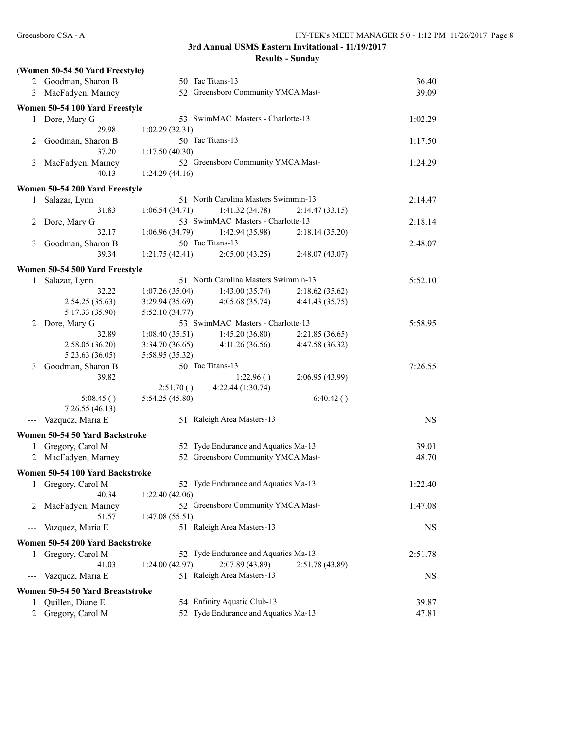|                     | (Women 50-54 50 Yard Freestyle)  |                 |                                      |                 |           |
|---------------------|----------------------------------|-----------------|--------------------------------------|-----------------|-----------|
|                     | 2 Goodman, Sharon B              |                 | 50 Tac Titans-13                     |                 | 36.40     |
|                     | 3 MacFadyen, Marney              |                 | 52 Greensboro Community YMCA Mast-   |                 | 39.09     |
|                     | Women 50-54 100 Yard Freestyle   |                 |                                      |                 |           |
| 1                   | Dore, Mary G                     |                 | 53 SwimMAC Masters - Charlotte-13    |                 | 1:02.29   |
|                     | 29.98                            | 1:02.29(32.31)  |                                      |                 |           |
| 2                   | Goodman, Sharon B                |                 | 50 Tac Titans-13                     |                 | 1:17.50   |
|                     | 37.20                            | 1:17.50(40.30)  |                                      |                 |           |
| 3                   | MacFadyen, Marney                |                 | 52 Greensboro Community YMCA Mast-   |                 | 1:24.29   |
|                     | 40.13                            | 1:24.29(44.16)  |                                      |                 |           |
|                     | Women 50-54 200 Yard Freestyle   |                 |                                      |                 |           |
| 1                   | Salazar, Lynn                    |                 | 51 North Carolina Masters Swimmin-13 |                 | 2:14.47   |
|                     | 31.83                            | 1:06.54(34.71)  | 1:41.32(34.78)                       | 2:14.47(33.15)  |           |
| 2                   | Dore, Mary G                     |                 | 53 SwimMAC Masters - Charlotte-13    |                 | 2:18.14   |
|                     | 32.17                            | 1:06.96(34.79)  | 1:42.94 (35.98)                      | 2:18.14(35.20)  |           |
| 3                   | Goodman, Sharon B                |                 | 50 Tac Titans-13                     |                 | 2:48.07   |
|                     | 39.34                            | 1:21.75(42.41)  | 2:05.00(43.25)                       | 2:48.07(43.07)  |           |
|                     |                                  |                 |                                      |                 |           |
|                     | Women 50-54 500 Yard Freestyle   |                 |                                      |                 |           |
|                     | 1 Salazar, Lynn                  |                 | 51 North Carolina Masters Swimmin-13 |                 | 5:52.10   |
|                     | 32.22                            | 1:07.26(35.04)  | 1:43.00(35.74)                       | 2:18.62(35.62)  |           |
|                     | 2:54.25(35.63)                   | 3:29.94(35.69)  | 4:05.68(35.74)                       | 4:41.43 (35.75) |           |
|                     | 5:17.33 (35.90)                  | 5:52.10(34.77)  |                                      |                 |           |
| 2                   | Dore, Mary G                     |                 | 53 SwimMAC Masters - Charlotte-13    |                 | 5:58.95   |
|                     | 32.89                            | 1:08.40(35.51)  | 1:45.20(36.80)                       | 2:21.85(36.65)  |           |
|                     | 2:58.05 (36.20)                  | 3:34.70(36.65)  | 4:11.26(36.56)                       | 4:47.58 (36.32) |           |
|                     | 5:23.63(36.05)                   | 5:58.95 (35.32) |                                      |                 |           |
| 3                   | Goodman, Sharon B                |                 | 50 Tac Titans-13                     |                 | 7:26.55   |
|                     | 39.82                            |                 | 1:22.96()                            | 2:06.95 (43.99) |           |
|                     |                                  | 2:51.70()       | 4:22.44 (1:30.74)                    |                 |           |
|                     | 5:08.45()                        | 5:54.25 (45.80) |                                      | 6:40.42()       |           |
|                     | 7:26.55(46.13)                   |                 |                                      |                 |           |
| $\qquad \qquad -$   | Vazquez, Maria E                 |                 | 51 Raleigh Area Masters-13           |                 | <b>NS</b> |
|                     | Women 50-54 50 Yard Backstroke   |                 |                                      |                 |           |
|                     | 1 Gregory, Carol M               |                 | 52 Tyde Endurance and Aquatics Ma-13 |                 | 39.01     |
|                     | 2 MacFadyen, Marney              |                 | 52 Greensboro Community YMCA Mast-   |                 | 48.70     |
|                     |                                  |                 |                                      |                 |           |
|                     | Women 50-54 100 Yard Backstroke  |                 |                                      |                 |           |
| 1                   | Gregory, Carol M                 |                 | 52 Tyde Endurance and Aquatics Ma-13 |                 | 1:22.40   |
|                     | 40.34                            | 1:22.40(42.06)  |                                      |                 |           |
| 2                   | MacFadyen, Marney                |                 | 52 Greensboro Community YMCA Mast-   |                 | 1:47.08   |
|                     | 51.57                            | 1:47.08(55.51)  |                                      |                 |           |
|                     | Vazquez, Maria E                 |                 | 51 Raleigh Area Masters-13           |                 | <b>NS</b> |
|                     | Women 50-54 200 Yard Backstroke  |                 |                                      |                 |           |
| 1                   | Gregory, Carol M                 |                 | 52 Tyde Endurance and Aquatics Ma-13 |                 | 2:51.78   |
|                     | 41.03                            | 1:24.00(42.97)  | 2:07.89(43.89)                       | 2:51.78 (43.89) |           |
|                     | Vazquez, Maria E                 |                 | 51 Raleigh Area Masters-13           |                 | <b>NS</b> |
|                     | Women 50-54 50 Yard Breaststroke |                 |                                      |                 |           |
|                     | Quillen, Diane E                 |                 | 54 Enfinity Aquatic Club-13          |                 | 39.87     |
| 1<br>$\overline{2}$ | Gregory, Carol M                 |                 | 52 Tyde Endurance and Aquatics Ma-13 |                 | 47.81     |
|                     |                                  |                 |                                      |                 |           |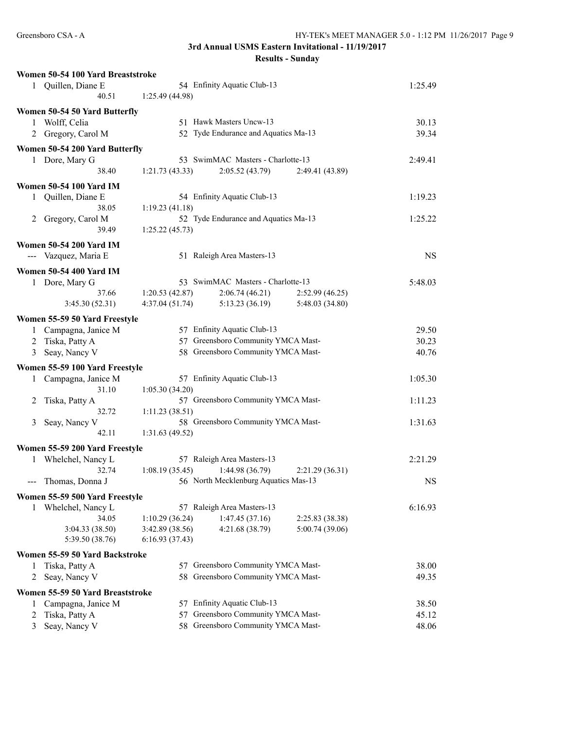|   | Women 50-54 100 Yard Breaststroke             |                 |                                                                          |                 |           |
|---|-----------------------------------------------|-----------------|--------------------------------------------------------------------------|-----------------|-----------|
|   | 1 Quillen, Diane E                            |                 | 54 Enfinity Aquatic Club-13                                              |                 | 1:25.49   |
|   | 40.51                                         | 1:25.49 (44.98) |                                                                          |                 |           |
|   |                                               |                 |                                                                          |                 |           |
|   | Women 50-54 50 Yard Butterfly<br>Wolff, Celia |                 | 51 Hawk Masters Uncw-13                                                  |                 | 30.13     |
| 1 | 2 Gregory, Carol M                            |                 | 52 Tyde Endurance and Aquatics Ma-13                                     |                 | 39.34     |
|   |                                               |                 |                                                                          |                 |           |
|   | Women 50-54 200 Yard Butterfly                |                 |                                                                          |                 |           |
|   | 1 Dore, Mary G                                |                 | 53 SwimMAC Masters - Charlotte-13                                        |                 | 2:49.41   |
|   | 38.40                                         | 1:21.73(43.33)  | 2:05.52(43.79)                                                           | 2:49.41 (43.89) |           |
|   | <b>Women 50-54 100 Yard IM</b>                |                 |                                                                          |                 |           |
|   | 1 Quillen, Diane E                            |                 | 54 Enfinity Aquatic Club-13                                              |                 | 1:19.23   |
|   | 38.05                                         | 1:19.23(41.18)  |                                                                          |                 |           |
|   | 2 Gregory, Carol M                            |                 | 52 Tyde Endurance and Aquatics Ma-13                                     |                 | 1:25.22   |
|   | 39.49                                         | 1:25.22(45.73)  |                                                                          |                 |           |
|   | <b>Women 50-54 200 Yard IM</b>                |                 |                                                                          |                 |           |
|   | --- Vazquez, Maria E                          |                 | 51 Raleigh Area Masters-13                                               |                 | <b>NS</b> |
|   |                                               |                 |                                                                          |                 |           |
|   | <b>Women 50-54 400 Yard IM</b>                |                 |                                                                          |                 |           |
|   | 1 Dore, Mary G                                |                 | 53 SwimMAC Masters - Charlotte-13                                        |                 | 5:48.03   |
|   | 37.66                                         | 1:20.53(42.87)  | 2:06.74(46.21)                                                           | 2:52.99(46.25)  |           |
|   | 3:45.30(52.31)                                | 4:37.04(51.74)  | 5:13.23(36.19)                                                           | 5:48.03 (34.80) |           |
|   | Women 55-59 50 Yard Freestyle                 |                 |                                                                          |                 |           |
|   | 1 Campagna, Janice M                          |                 | 57 Enfinity Aquatic Club-13                                              |                 | 29.50     |
|   | 2 Tiska, Patty A                              |                 | 57 Greensboro Community YMCA Mast-                                       |                 | 30.23     |
|   | 3 Seay, Nancy V                               |                 | 58 Greensboro Community YMCA Mast-                                       |                 | 40.76     |
|   |                                               |                 |                                                                          |                 |           |
|   | Women 55-59 100 Yard Freestyle                |                 |                                                                          |                 |           |
|   | 1 Campagna, Janice M                          |                 | 57 Enfinity Aquatic Club-13                                              |                 | 1:05.30   |
|   | 31.10                                         | 1:05.30(34.20)  |                                                                          |                 |           |
| 2 | Tiska, Patty A                                |                 | 57 Greensboro Community YMCA Mast-                                       |                 | 1:11.23   |
|   | 32.72                                         | 1:11.23(38.51)  |                                                                          |                 |           |
| 3 | Seay, Nancy V                                 |                 | 58 Greensboro Community YMCA Mast-                                       |                 | 1:31.63   |
|   | 42.11                                         | 1:31.63(49.52)  |                                                                          |                 |           |
|   | Women 55-59 200 Yard Freestyle                |                 |                                                                          |                 |           |
|   | 1 Whelchel, Nancy L                           |                 | 57 Raleigh Area Masters-13                                               |                 | 2:21.29   |
|   | 32.74                                         | 1:08.19(35.45)  | 1:44.98(36.79)                                                           | 2:21.29(36.31)  |           |
|   | Thomas, Donna J                               |                 | 56 North Mecklenburg Aquatics Mas-13                                     |                 | <b>NS</b> |
|   | Women 55-59 500 Yard Freestyle                |                 |                                                                          |                 |           |
| 1 | Whelchel, Nancy L                             |                 | 57 Raleigh Area Masters-13                                               |                 | 6:16.93   |
|   | 34.05                                         | 1:10.29(36.24)  | 1:47.45(37.16)                                                           | 2:25.83 (38.38) |           |
|   | 3:04.33 (38.50)                               | 3:42.89 (38.56) | 4:21.68 (38.79)                                                          | 5:00.74 (39.06) |           |
|   | 5:39.50 (38.76)                               | 6:16.93(37.43)  |                                                                          |                 |           |
|   |                                               |                 |                                                                          |                 |           |
|   | Women 55-59 50 Yard Backstroke                |                 |                                                                          |                 | 38.00     |
| 1 | Tiska, Patty A                                |                 | 57 Greensboro Community YMCA Mast-<br>58 Greensboro Community YMCA Mast- |                 |           |
| 2 | Seay, Nancy V                                 |                 |                                                                          |                 | 49.35     |
|   | Women 55-59 50 Yard Breaststroke              |                 |                                                                          |                 |           |
| 1 | Campagna, Janice M                            |                 | 57 Enfinity Aquatic Club-13                                              |                 | 38.50     |
| 2 | Tiska, Patty A                                |                 | 57 Greensboro Community YMCA Mast-                                       |                 | 45.12     |
| 3 | Seay, Nancy V                                 |                 | 58 Greensboro Community YMCA Mast-                                       |                 | 48.06     |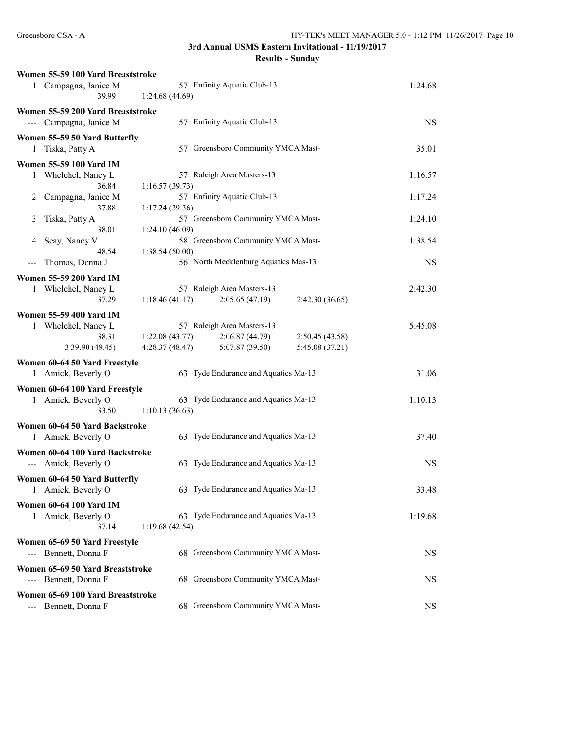```
Results - Sunday
```

| Women 55-59 100 Yard Breaststroke                      |                |                                      |                 |           |
|--------------------------------------------------------|----------------|--------------------------------------|-----------------|-----------|
| 1 Campagna, Janice M<br>39.99                          | 1:24.68(44.69) | 57 Enfinity Aquatic Club-13          |                 | 1:24.68   |
| Women 55-59 200 Yard Breaststroke                      |                |                                      |                 |           |
| --- Campagna, Janice M                                 |                | 57 Enfinity Aquatic Club-13          |                 | <b>NS</b> |
| Women 55-59 50 Yard Butterfly                          |                |                                      |                 |           |
| Tiska, Patty A<br>1                                    |                | 57 Greensboro Community YMCA Mast-   |                 | 35.01     |
| Women 55-59 100 Yard IM                                |                |                                      |                 |           |
| 1 Whelchel, Nancy L                                    |                | 57 Raleigh Area Masters-13           |                 | 1:16.57   |
| 36.84                                                  | 1:16.57(39.73) |                                      |                 |           |
| Campagna, Janice M<br>2                                |                | 57 Enfinity Aquatic Club-13          |                 | 1:17.24   |
| 37.88                                                  | 1:17.24(39.36) |                                      |                 |           |
| Tiska, Patty A<br>3<br>38.01                           | 1:24.10(46.09) | 57 Greensboro Community YMCA Mast-   |                 | 1:24.10   |
| Seay, Nancy V<br>4                                     |                | 58 Greensboro Community YMCA Mast-   |                 | 1:38.54   |
| 48.54                                                  | 1:38.54(50.00) |                                      |                 |           |
| Thomas, Donna J                                        |                | 56 North Mecklenburg Aquatics Mas-13 |                 | <b>NS</b> |
| <b>Women 55-59 200 Yard IM</b>                         |                |                                      |                 |           |
| 1 Whelchel, Nancy L                                    |                | 57 Raleigh Area Masters-13           |                 | 2:42.30   |
| 37.29                                                  | 1:18.46(41.17) | 2:05.65(47.19)                       | 2:42.30 (36.65) |           |
| Women 55-59 400 Yard IM                                |                |                                      |                 |           |
| Whelchel, Nancy L<br>1                                 |                | 57 Raleigh Area Masters-13           |                 | 5:45.08   |
| 38.31                                                  | 1:22.08(43.77) | 2:06.87 (44.79)                      | 2:50.45 (43.58) |           |
| 3:39.90 (49.45)                                        | 4:28.37(48.47) | 5:07.87 (39.50)                      | 5:45.08 (37.21) |           |
| Women 60-64 50 Yard Freestyle                          |                |                                      |                 |           |
| 1 Amick, Beverly O                                     |                | 63 Tyde Endurance and Aquatics Ma-13 |                 | 31.06     |
| Women 60-64 100 Yard Freestyle                         |                |                                      |                 |           |
| 1 Amick, Beverly O                                     |                | 63 Tyde Endurance and Aquatics Ma-13 |                 | 1:10.13   |
| 33.50                                                  | 1:10.13(36.63) |                                      |                 |           |
| Women 60-64 50 Yard Backstroke                         |                |                                      |                 |           |
| 1 Amick, Beverly O                                     |                | 63 Tyde Endurance and Aquatics Ma-13 |                 | 37.40     |
| Women 60-64 100 Yard Backstroke                        |                |                                      |                 |           |
| --- Amick, Beverly O                                   |                | 63 Tyde Endurance and Aquatics Ma-13 |                 | <b>NS</b> |
|                                                        |                |                                      |                 |           |
| Women 60-64 50 Yard Butterfly<br>Amick, Beverly O<br>1 |                | 63 Tyde Endurance and Aquatics Ma-13 |                 | 33.48     |
|                                                        |                |                                      |                 |           |
| <b>Women 60-64 100 Yard IM</b>                         |                |                                      |                 |           |
| 1 Amick, Beverly O                                     |                | 63 Tyde Endurance and Aquatics Ma-13 |                 | 1:19.68   |
| 37.14                                                  | 1:19.68(42.54) |                                      |                 |           |
| Women 65-69 50 Yard Freestyle                          |                |                                      |                 |           |
| --- Bennett, Donna F                                   |                | 68 Greensboro Community YMCA Mast-   |                 | <b>NS</b> |
| Women 65-69 50 Yard Breaststroke                       |                |                                      |                 |           |
| --- Bennett, Donna F                                   |                | 68 Greensboro Community YMCA Mast-   |                 | NS        |
| Women 65-69 100 Yard Breaststroke                      |                |                                      |                 |           |
| Bennett, Donna F                                       |                | 68 Greensboro Community YMCA Mast-   |                 | <b>NS</b> |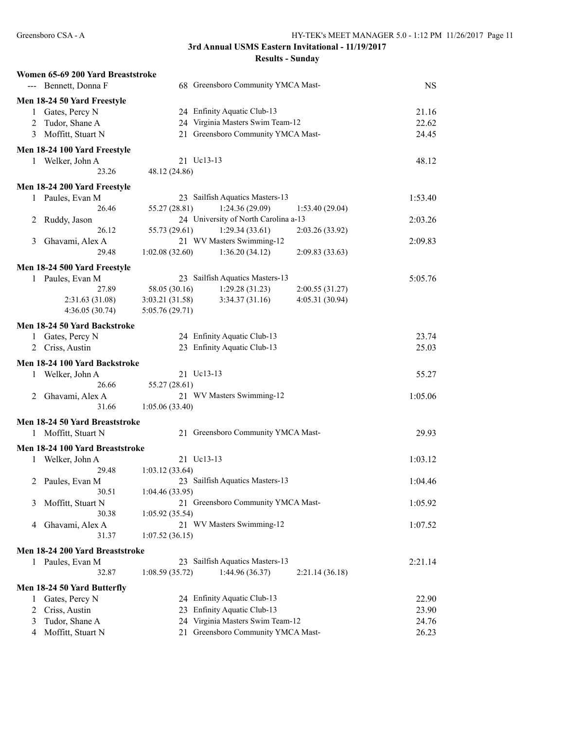| <b>Results - Sunday</b> |  |  |
|-------------------------|--|--|
|-------------------------|--|--|

|   | Women 65-69 200 Yard Breaststroke |                 |                                      |                 |           |
|---|-----------------------------------|-----------------|--------------------------------------|-----------------|-----------|
|   | --- Bennett, Donna F              |                 | 68 Greensboro Community YMCA Mast-   |                 | <b>NS</b> |
|   | Men 18-24 50 Yard Freestyle       |                 |                                      |                 |           |
|   | 1 Gates, Percy N                  |                 | 24 Enfinity Aquatic Club-13          |                 | 21.16     |
| 2 | Tudor, Shane A                    |                 | 24 Virginia Masters Swim Team-12     |                 | 22.62     |
| 3 | Moffitt, Stuart N                 |                 | 21 Greensboro Community YMCA Mast-   |                 | 24.45     |
|   |                                   |                 |                                      |                 |           |
|   | Men 18-24 100 Yard Freestyle      |                 |                                      |                 |           |
|   | 1 Welker, John A                  | 21 Uc13-13      |                                      |                 | 48.12     |
|   | 23.26                             | 48.12 (24.86)   |                                      |                 |           |
|   | Men 18-24 200 Yard Freestyle      |                 |                                      |                 |           |
|   | 1 Paules, Evan M                  |                 | 23 Sailfish Aquatics Masters-13      |                 | 1:53.40   |
|   | 26.46                             | 55.27 (28.81)   | 1:24.36(29.09)                       | 1:53.40(29.04)  |           |
| 2 | Ruddy, Jason                      |                 | 24 University of North Carolina a-13 |                 | 2:03.26   |
|   | 26.12                             | 55.73 (29.61)   | 1:29.34(33.61)                       | 2:03.26 (33.92) |           |
| 3 | Ghavami, Alex A                   |                 | 21 WV Masters Swimming-12            |                 | 2:09.83   |
|   | 29.48                             | 1:02.08(32.60)  | 1:36.20(34.12)                       | 2:09.83(33.63)  |           |
|   |                                   |                 |                                      |                 |           |
|   | Men 18-24 500 Yard Freestyle      |                 |                                      |                 |           |
|   | Paules, Evan M                    |                 | 23 Sailfish Aquatics Masters-13      |                 | 5:05.76   |
|   | 27.89                             | 58.05 (30.16)   | 1:29.28(31.23)                       | 2:00.55(31.27)  |           |
|   | 2:31.63(31.08)                    | 3:03.21 (31.58) | 3:34.37(31.16)                       | 4:05.31 (30.94) |           |
|   | 4:36.05(30.74)                    | 5:05.76(29.71)  |                                      |                 |           |
|   | Men 18-24 50 Yard Backstroke      |                 |                                      |                 |           |
|   | 1 Gates, Percy N                  |                 | 24 Enfinity Aquatic Club-13          |                 | 23.74     |
|   | 2 Criss, Austin                   |                 | 23 Enfinity Aquatic Club-13          |                 | 25.03     |
|   | Men 18-24 100 Yard Backstroke     |                 |                                      |                 |           |
| 1 | Welker, John A                    | 21 Uc13-13      |                                      |                 | 55.27     |
|   | 26.66                             | 55.27 (28.61)   |                                      |                 |           |
| 2 | Ghavami, Alex A                   |                 | 21 WV Masters Swimming-12            |                 | 1:05.06   |
|   | 31.66                             | 1:05.06(33.40)  |                                      |                 |           |
|   |                                   |                 |                                      |                 |           |
|   | Men 18-24 50 Yard Breaststroke    |                 |                                      |                 |           |
| 1 | Moffitt, Stuart N                 |                 | 21 Greensboro Community YMCA Mast-   |                 | 29.93     |
|   | Men 18-24 100 Yard Breaststroke   |                 |                                      |                 |           |
|   | 1 Welker, John A                  | 21 Uc13-13      |                                      |                 | 1:03.12   |
|   | 29.48                             | 1:03.12(33.64)  |                                      |                 |           |
|   | 2 Paules, Evan M                  |                 | 23 Sailfish Aquatics Masters-13      |                 | 1:04.46   |
|   | 30.51                             | 1:04.46(33.95)  |                                      |                 |           |
| 3 | Moffitt, Stuart N                 |                 | 21 Greensboro Community YMCA Mast-   |                 | 1:05.92   |
|   | 30.38                             | 1:05.92(35.54)  |                                      |                 |           |
| 4 | Ghavami, Alex A                   |                 | 21 WV Masters Swimming-12            |                 | 1:07.52   |
|   | 31.37                             | 1:07.52(36.15)  |                                      |                 |           |
|   | Men 18-24 200 Yard Breaststroke   |                 |                                      |                 |           |
|   |                                   |                 | 23 Sailfish Aquatics Masters-13      |                 | 2:21.14   |
| 1 | Paules, Evan M                    |                 |                                      |                 |           |
|   | 32.87                             | 1:08.59(35.72)  | 1:44.96 (36.37)                      | 2:21.14(36.18)  |           |
|   | Men 18-24 50 Yard Butterfly       |                 |                                      |                 |           |
| 1 | Gates, Percy N                    |                 | 24 Enfinity Aquatic Club-13          |                 | 22.90     |
| 2 | Criss, Austin                     |                 | 23 Enfinity Aquatic Club-13          |                 | 23.90     |
| 3 | Tudor, Shane A                    |                 | 24 Virginia Masters Swim Team-12     |                 | 24.76     |
| 4 | Moffitt, Stuart N                 |                 | 21 Greensboro Community YMCA Mast-   |                 | 26.23     |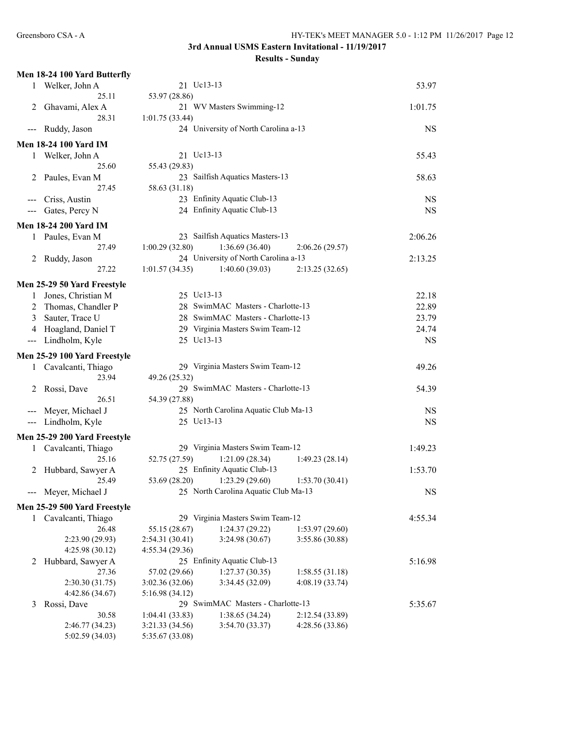|       | Men 18-24 100 Yard Butterfly       |                                    |                                      |                 |           |
|-------|------------------------------------|------------------------------------|--------------------------------------|-----------------|-----------|
| 1     | Welker, John A                     | 21 Uc13-13                         |                                      |                 | 53.97     |
|       | 25.11                              | 53.97 (28.86)                      |                                      |                 |           |
| 2     | Ghavami, Alex A                    |                                    | 21 WV Masters Swimming-12            |                 | 1:01.75   |
|       | 28.31                              | 1:01.75(33.44)                     |                                      |                 |           |
| $---$ | Ruddy, Jason                       |                                    | 24 University of North Carolina a-13 |                 | NS        |
|       | <b>Men 18-24 100 Yard IM</b>       |                                    |                                      |                 |           |
|       | 1 Welker, John A                   | 21 Uc13-13                         |                                      |                 | 55.43     |
|       | 25.60                              | 55.43 (29.83)                      |                                      |                 |           |
| 2     | Paules, Evan M                     |                                    | 23 Sailfish Aquatics Masters-13      |                 | 58.63     |
|       | 27.45                              | 58.63 (31.18)                      |                                      |                 |           |
|       | Criss, Austin                      |                                    | 23 Enfinity Aquatic Club-13          |                 | NS        |
|       | Gates, Percy N                     |                                    | 24 Enfinity Aquatic Club-13          |                 | <b>NS</b> |
| ---   |                                    |                                    |                                      |                 |           |
|       | <b>Men 18-24 200 Yard IM</b>       |                                    |                                      |                 |           |
| 1     | Paules, Evan M                     |                                    | 23 Sailfish Aquatics Masters-13      |                 | 2:06.26   |
|       | 27.49                              | 1:00.29(32.80)                     | 1:36.69(36.40)                       | 2:06.26(29.57)  |           |
| 2     | Ruddy, Jason                       |                                    | 24 University of North Carolina a-13 |                 | 2:13.25   |
|       | 27.22                              | 1:01.57(34.35)                     | 1:40.60(39.03)                       | 2:13.25(32.65)  |           |
|       | Men 25-29 50 Yard Freestyle        |                                    |                                      |                 |           |
| 1     | Jones, Christian M                 | 25 Uc13-13                         |                                      |                 | 22.18     |
| 2     | Thomas, Chandler P                 |                                    | 28 SwimMAC Masters - Charlotte-13    |                 | 22.89     |
| 3     | Sauter, Trace U                    |                                    | 28 SwimMAC Masters - Charlotte-13    |                 | 23.79     |
| 4     | Hoagland, Daniel T                 |                                    | 29 Virginia Masters Swim Team-12     |                 | 24.74     |
|       |                                    | 25 Uc13-13                         |                                      |                 |           |
| $---$ | Lindholm, Kyle                     |                                    |                                      |                 | <b>NS</b> |
|       | Men 25-29 100 Yard Freestyle       |                                    |                                      |                 |           |
|       |                                    |                                    |                                      |                 |           |
| 1     | Cavalcanti, Thiago                 |                                    | 29 Virginia Masters Swim Team-12     |                 | 49.26     |
|       | 23.94                              | 49.26 (25.32)                      |                                      |                 |           |
| 2     | Rossi, Dave                        |                                    | 29 SwimMAC Masters - Charlotte-13    |                 | 54.39     |
|       | 26.51                              | 54.39 (27.88)                      |                                      |                 |           |
| $---$ | Meyer, Michael J                   |                                    | 25 North Carolina Aquatic Club Ma-13 |                 | <b>NS</b> |
|       | --- Lindholm, Kyle                 | 25 Uc13-13                         |                                      |                 | <b>NS</b> |
|       |                                    |                                    |                                      |                 |           |
|       | Men 25-29 200 Yard Freestyle       |                                    |                                      |                 |           |
|       | 1 Cavalcanti, Thiago               |                                    | 29 Virginia Masters Swim Team-12     |                 | 1:49.23   |
|       | 25.16                              | 52.75 (27.59)                      | 1:21.09(28.34)                       | 1:49.23(28.14)  |           |
| 2     | Hubbard, Sawyer A                  |                                    | 25 Enfinity Aquatic Club-13          |                 | 1:53.70   |
|       | 25.49                              |                                    | 53.69 (28.20) 1:23.29 (29.60)        | 1:53.70(30.41)  |           |
|       | --- Meyer, Michael J               |                                    | 25 North Carolina Aquatic Club Ma-13 |                 | <b>NS</b> |
|       | Men 25-29 500 Yard Freestyle       |                                    |                                      |                 |           |
| 1     | Cavalcanti, Thiago                 |                                    | 29 Virginia Masters Swim Team-12     |                 | 4:55.34   |
|       | 26.48                              | 55.15 (28.67)                      | 1:24.37(29.22)                       | 1:53.97(29.60)  |           |
|       | 2:23.90 (29.93)                    | 2:54.31 (30.41)                    | 3:24.98 (30.67)                      | 3:55.86 (30.88) |           |
|       | 4:25.98 (30.12)                    | 4:55.34(29.36)                     |                                      |                 |           |
| 2     | Hubbard, Sawyer A                  |                                    | 25 Enfinity Aquatic Club-13          |                 | 5:16.98   |
|       | 27.36                              | 57.02 (29.66)                      | 1:27.37(30.35)                       | 1:58.55(31.18)  |           |
|       | 2:30.30(31.75)                     | 3:02.36 (32.06)                    | 3:34.45 (32.09)                      | 4:08.19 (33.74) |           |
|       | 4:42.86 (34.67)                    | 5:16.98 (34.12)                    |                                      |                 |           |
| 3     | Rossi, Dave                        |                                    | 29 SwimMAC Masters - Charlotte-13    |                 | 5:35.67   |
|       | 30.58                              | 1:04.41(33.83)                     | 1:38.65(34.24)                       | 2:12.54(33.89)  |           |
|       | 2:46.77 (34.23)<br>5:02.59 (34.03) | 3:21.33 (34.56)<br>5:35.67 (33.08) | 3:54.70 (33.37)                      | 4:28.56(33.86)  |           |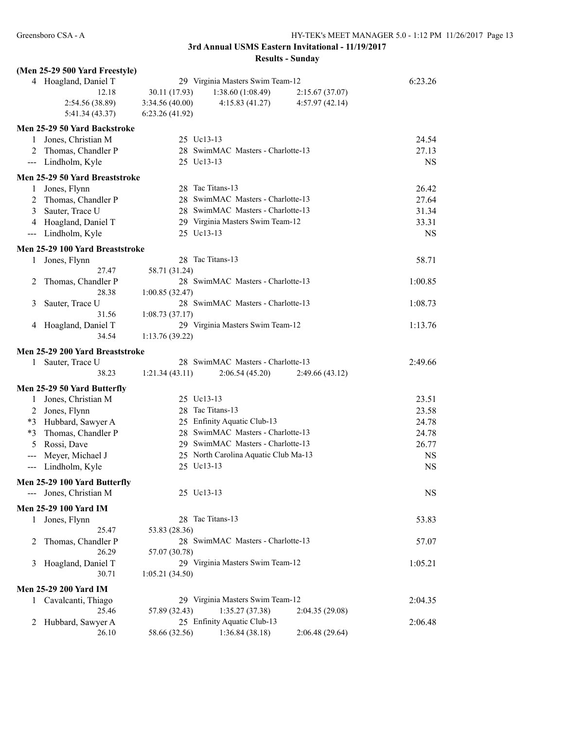|                            | (Men 25-29 500 Yard Freestyle)  |                |                                      |                 |           |
|----------------------------|---------------------------------|----------------|--------------------------------------|-----------------|-----------|
|                            | 4 Hoagland, Daniel T            |                | 29 Virginia Masters Swim Team-12     |                 | 6:23.26   |
|                            | 12.18                           | 30.11 (17.93)  | 1:38.60(1:08.49)                     | 2:15.67(37.07)  |           |
|                            | 2:54.56 (38.89)                 | 3:34.56(40.00) | 4:15.83(41.27)                       | 4:57.97(42.14)  |           |
|                            | 5:41.34(43.37)                  | 6:23.26(41.92) |                                      |                 |           |
|                            | Men 25-29 50 Yard Backstroke    |                |                                      |                 |           |
|                            | 1 Jones, Christian M            | 25 Uc13-13     |                                      |                 | 24.54     |
| 2                          | Thomas, Chandler P              |                | 28 SwimMAC Masters - Charlotte-13    |                 | 27.13     |
|                            | --- Lindholm, Kyle              | 25 Uc13-13     |                                      |                 | <b>NS</b> |
|                            |                                 |                |                                      |                 |           |
|                            | Men 25-29 50 Yard Breaststroke  |                | 28 Tac Titans-13                     |                 |           |
| 1                          | Jones, Flynn                    |                | 28 SwimMAC Masters - Charlotte-13    |                 | 26.42     |
| 2                          | Thomas, Chandler P              |                |                                      |                 | 27.64     |
| 3                          | Sauter, Trace U                 |                | 28 SwimMAC Masters - Charlotte-13    |                 | 31.34     |
|                            | 4 Hoagland, Daniel T            |                | 29 Virginia Masters Swim Team-12     |                 | 33.31     |
| $\qquad \qquad -$          | Lindholm, Kyle                  | 25 Uc13-13     |                                      |                 | <b>NS</b> |
|                            | Men 25-29 100 Yard Breaststroke |                |                                      |                 |           |
| 1                          | Jones, Flynn                    |                | 28 Tac Titans-13                     |                 | 58.71     |
|                            | 27.47                           | 58.71 (31.24)  |                                      |                 |           |
| 2                          | Thomas, Chandler P              |                | 28 SwimMAC Masters - Charlotte-13    |                 | 1:00.85   |
|                            | 28.38                           | 1:00.85(32.47) |                                      |                 |           |
| 3                          | Sauter, Trace U                 |                | 28 SwimMAC Masters - Charlotte-13    |                 | 1:08.73   |
|                            | 31.56                           | 1:08.73(37.17) |                                      |                 |           |
|                            | 4 Hoagland, Daniel T            |                | 29 Virginia Masters Swim Team-12     |                 | 1:13.76   |
|                            | 34.54                           | 1:13.76(39.22) |                                      |                 |           |
|                            | Men 25-29 200 Yard Breaststroke |                |                                      |                 |           |
| 1                          | Sauter, Trace U                 |                | 28 SwimMAC Masters - Charlotte-13    |                 | 2:49.66   |
|                            | 38.23                           | 1:21.34(43.11) | 2:06.54(45.20)                       | 2:49.66(43.12)  |           |
|                            | Men 25-29 50 Yard Butterfly     |                |                                      |                 |           |
| 1                          | Jones, Christian M              | 25 Uc13-13     |                                      |                 | 23.51     |
|                            | 2 Jones, Flynn                  |                | 28 Tac Titans-13                     |                 | 23.58     |
|                            | *3 Hubbard, Sawyer A            |                | 25 Enfinity Aquatic Club-13          |                 | 24.78     |
| $*3$                       | Thomas, Chandler P              |                | 28 SwimMAC Masters - Charlotte-13    |                 | 24.78     |
| 5                          | Rossi, Dave                     |                | 29 SwimMAC Masters - Charlotte-13    |                 | 26.77     |
| $\qquad \qquad - \qquad -$ | Meyer, Michael J                |                | 25 North Carolina Aquatic Club Ma-13 |                 | <b>NS</b> |
| $---$                      | Lindholm, Kyle                  | 25 Uc13-13     |                                      |                 | <b>NS</b> |
|                            |                                 |                |                                      |                 |           |
|                            | Men 25-29 100 Yard Butterfly    |                |                                      |                 |           |
|                            | Jones, Christian M              | 25 Uc13-13     |                                      |                 | <b>NS</b> |
|                            | <b>Men 25-29 100 Yard IM</b>    |                |                                      |                 |           |
| 1                          | Jones, Flynn                    |                | 28 Tac Titans-13                     |                 | 53.83     |
|                            | 25.47                           | 53.83 (28.36)  |                                      |                 |           |
| 2                          | Thomas, Chandler P              |                | 28 SwimMAC Masters - Charlotte-13    |                 | 57.07     |
|                            | 26.29                           | 57.07 (30.78)  |                                      |                 |           |
| 3                          | Hoagland, Daniel T              |                | 29 Virginia Masters Swim Team-12     |                 | 1:05.21   |
|                            | 30.71                           | 1:05.21(34.50) |                                      |                 |           |
|                            | <b>Men 25-29 200 Yard IM</b>    |                |                                      |                 |           |
| 1                          | Cavalcanti, Thiago              |                | 29 Virginia Masters Swim Team-12     |                 | 2:04.35   |
|                            | 25.46                           | 57.89 (32.43)  | 1:35.27(37.38)                       | 2:04.35(29.08)  |           |
| 2                          | Hubbard, Sawyer A               |                | 25 Enfinity Aquatic Club-13          |                 | 2:06.48   |
|                            | 26.10                           | 58.66 (32.56)  | 1:36.84(38.18)                       | 2:06.48 (29.64) |           |
|                            |                                 |                |                                      |                 |           |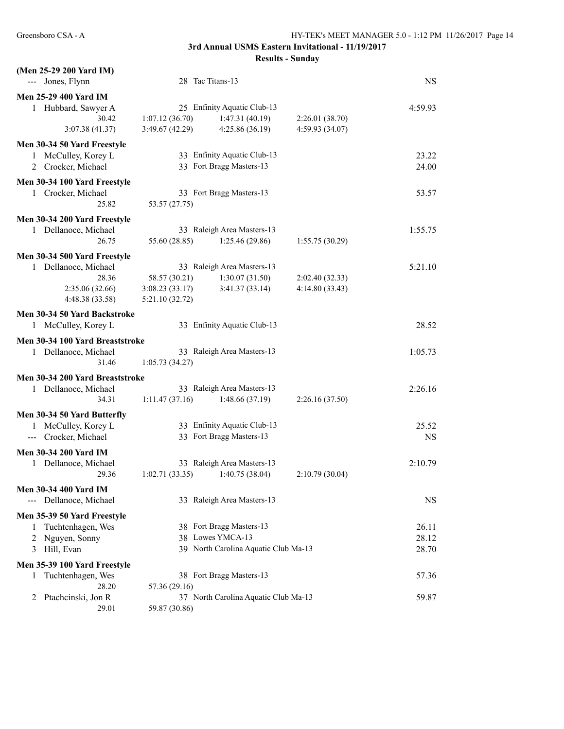| (Men 25-29 200 Yard IM)<br>--- Jones, Flynn |                                   | 28 Tac Titans-13                     |                 | <b>NS</b> |
|---------------------------------------------|-----------------------------------|--------------------------------------|-----------------|-----------|
| <b>Men 25-29 400 Yard IM</b>                |                                   |                                      |                 |           |
| 1 Hubbard, Sawyer A                         |                                   | 25 Enfinity Aquatic Club-13          |                 | 4:59.93   |
| 30.42                                       | 1:07.12(36.70)                    | 1:47.31(40.19)                       | 2:26.01(38.70)  |           |
| 3:07.38(41.37)                              | 3:49.67(42.29)                    | 4:25.86(36.19)                       | 4:59.93 (34.07) |           |
| Men 30-34 50 Yard Freestyle                 |                                   |                                      |                 |           |
| 1 McCulley, Korey L                         |                                   | 33 Enfinity Aquatic Club-13          |                 | 23.22     |
| 2 Crocker, Michael                          |                                   | 33 Fort Bragg Masters-13             |                 | 24.00     |
| Men 30-34 100 Yard Freestyle                |                                   |                                      |                 |           |
| 1 Crocker, Michael                          |                                   | 33 Fort Bragg Masters-13             |                 | 53.57     |
| 25.82                                       | 53.57 (27.75)                     |                                      |                 |           |
| Men 30-34 200 Yard Freestyle                |                                   |                                      |                 |           |
| 1 Dellanoce, Michael                        |                                   | 33 Raleigh Area Masters-13           |                 | 1:55.75   |
| 26.75                                       | 55.60 (28.85)                     | 1:25.46(29.86)                       | 1:55.75(30.29)  |           |
| Men 30-34 500 Yard Freestyle                |                                   |                                      |                 |           |
| 1 Dellanoce, Michael                        |                                   | 33 Raleigh Area Masters-13           |                 | 5:21.10   |
| 28.36                                       | 58.57 (30.21)                     | 1:30.07(31.50)                       | 2:02.40 (32.33) |           |
| 2:35.06(32.66)                              | 3:08.23(33.17)                    | 3:41.37(33.14)                       | 4:14.80 (33.43) |           |
| 4:48.38 (33.58)                             | 5:21.10(32.72)                    |                                      |                 |           |
| Men 30-34 50 Yard Backstroke                |                                   |                                      |                 |           |
| 1 McCulley, Korey L                         |                                   | 33 Enfinity Aquatic Club-13          |                 | 28.52     |
| Men 30-34 100 Yard Breaststroke             |                                   |                                      |                 |           |
| 1 Dellanoce, Michael                        |                                   | 33 Raleigh Area Masters-13           |                 | 1:05.73   |
| 31.46                                       | 1:05.73(34.27)                    |                                      |                 |           |
| Men 30-34 200 Yard Breaststroke             |                                   |                                      |                 |           |
| 1 Dellanoce, Michael                        |                                   | 33 Raleigh Area Masters-13           |                 | 2:26.16   |
| 34.31                                       | 1:11.47(37.16)                    | 1:48.66(37.19)                       | 2:26.16(37.50)  |           |
| Men 30-34 50 Yard Butterfly                 |                                   |                                      |                 |           |
| 1 McCulley, Korey L                         |                                   | 33 Enfinity Aquatic Club-13          |                 | 25.52     |
| Crocker, Michael<br>$\sim$ $\sim$           |                                   | 33 Fort Bragg Masters-13             |                 | <b>NS</b> |
| <b>Men 30-34 200 Yard IM</b>                |                                   |                                      |                 |           |
| 1 Dellanoce, Michael                        |                                   | 33 Raleigh Area Masters-13           |                 | 2:10.79   |
| 29.36                                       | $1:02.71(33.35)$ $1:40.75(38.04)$ |                                      | 2:10.79(30.04)  |           |
| <b>Men 30-34 400 Yard IM</b>                |                                   |                                      |                 |           |
| --- Dellanoce, Michael                      |                                   | 33 Raleigh Area Masters-13           |                 | <b>NS</b> |
| Men 35-39 50 Yard Freestyle                 |                                   |                                      |                 |           |
| Tuchtenhagen, Wes<br>1                      |                                   | 38 Fort Bragg Masters-13             |                 | 26.11     |
| Nguyen, Sonny<br>2                          |                                   | 38 Lowes YMCA-13                     |                 | 28.12     |
| Hill, Evan<br>3                             |                                   | 39 North Carolina Aquatic Club Ma-13 |                 | 28.70     |
| Men 35-39 100 Yard Freestyle                |                                   |                                      |                 |           |
| Tuchtenhagen, Wes<br>1                      |                                   | 38 Fort Bragg Masters-13             |                 | 57.36     |
| 28.20                                       | 57.36 (29.16)                     |                                      |                 |           |
| Ptachcinski, Jon R<br>2                     |                                   | 37 North Carolina Aquatic Club Ma-13 |                 | 59.87     |
| 29.01                                       | 59.87 (30.86)                     |                                      |                 |           |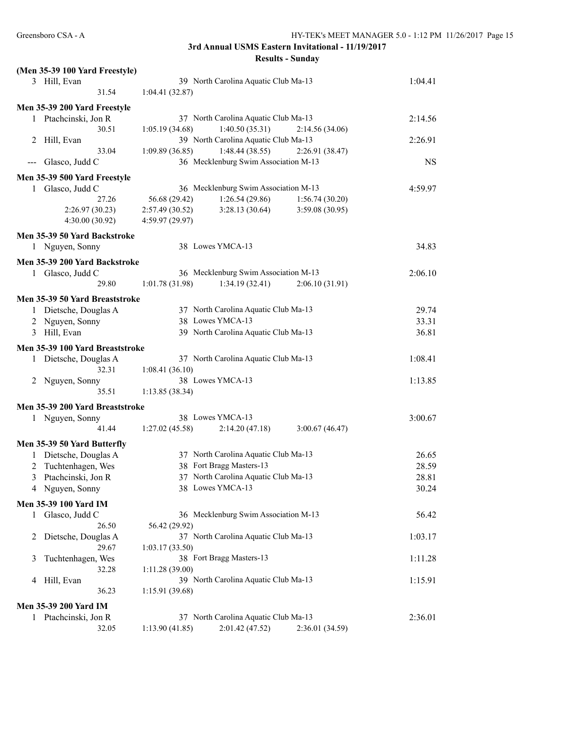|              | (Men 35-39 100 Yard Freestyle)  |                                                       |           |
|--------------|---------------------------------|-------------------------------------------------------|-----------|
|              | 3 Hill, Evan                    | 39 North Carolina Aquatic Club Ma-13                  | 1:04.41   |
|              | 31.54                           | 1:04.41(32.87)                                        |           |
|              | Men 35-39 200 Yard Freestyle    |                                                       |           |
|              | 1 Ptachcinski, Jon R            | 37 North Carolina Aquatic Club Ma-13                  | 2:14.56   |
|              | 30.51                           | 1:40.50(35.31)<br>1:05.19(34.68)<br>2:14.56(34.06)    |           |
|              | 2 Hill, Evan                    | 39 North Carolina Aquatic Club Ma-13                  | 2:26.91   |
|              | 33.04                           | 1:48.44(38.55)<br>1:09.89(36.85)<br>2:26.91(38.47)    |           |
|              | $-$ - Glasco, Judd C            | 36 Mecklenburg Swim Association M-13                  | <b>NS</b> |
|              | Men 35-39 500 Yard Freestyle    |                                                       |           |
|              | 1 Glasco, Judd C                | 36 Mecklenburg Swim Association M-13                  | 4:59.97   |
|              | 27.26                           | 56.68 (29.42)<br>1:26.54(29.86)<br>1:56.74(30.20)     |           |
|              | 2:26.97(30.23)                  | 2:57.49(30.52)<br>3:28.13(30.64)<br>3:59.08 (30.95)   |           |
|              | 4:30.00(30.92)                  | 4:59.97 (29.97)                                       |           |
|              |                                 |                                                       |           |
|              | Men 35-39 50 Yard Backstroke    | 38 Lowes YMCA-13                                      | 34.83     |
|              | 1 Nguyen, Sonny                 |                                                       |           |
|              | Men 35-39 200 Yard Backstroke   |                                                       |           |
|              | 1 Glasco, Judd C                | 36 Mecklenburg Swim Association M-13                  | 2:06.10   |
|              | 29.80                           | 1:01.78(31.98)<br>1:34.19(32.41)<br>2:06.10(31.91)    |           |
|              | Men 35-39 50 Yard Breaststroke  |                                                       |           |
|              | 1 Dietsche, Douglas A           | 37 North Carolina Aquatic Club Ma-13                  | 29.74     |
|              | 2 Nguyen, Sonny                 | 38 Lowes YMCA-13                                      | 33.31     |
|              | 3 Hill, Evan                    | 39 North Carolina Aquatic Club Ma-13                  | 36.81     |
|              |                                 |                                                       |           |
|              | Men 35-39 100 Yard Breaststroke |                                                       |           |
|              | 1 Dietsche, Douglas A           | 37 North Carolina Aquatic Club Ma-13                  | 1:08.41   |
|              | 32.31                           | 1:08.41(36.10)                                        |           |
|              | 2 Nguyen, Sonny<br>35.51        | 38 Lowes YMCA-13                                      | 1:13.85   |
|              |                                 | 1:13.85(38.34)                                        |           |
|              | Men 35-39 200 Yard Breaststroke |                                                       |           |
|              | 1 Nguyen, Sonny                 | 38 Lowes YMCA-13                                      | 3:00.67   |
|              | 41.44                           | 2:14.20(47.18)<br>3:00.67(46.47)<br>1:27.02(45.58)    |           |
|              | Men 35-39 50 Yard Butterfly     |                                                       |           |
|              | 1 Dietsche, Douglas A           | 37 North Carolina Aquatic Club Ma-13                  | 26.65     |
| 2            | Tuchtenhagen, Wes               | 38 Fort Bragg Masters-13                              | 28.59     |
|              | 3 Ptachcinski, Jon R            | 37 North Carolina Aquatic Club Ma-13                  | 28.81     |
|              | 4 Nguyen, Sonny                 | 38 Lowes YMCA-13                                      | 30.24     |
|              |                                 |                                                       |           |
|              | Men 35-39 100 Yard IM           |                                                       |           |
| $\mathbf{1}$ | Glasco, Judd C                  | 36 Mecklenburg Swim Association M-13                  | 56.42     |
|              | 26.50                           | 56.42 (29.92)                                         |           |
| 2            | Dietsche, Douglas A             | 37 North Carolina Aquatic Club Ma-13                  | 1:03.17   |
|              | 29.67                           | 1:03.17(33.50)                                        |           |
| 3            | Tuchtenhagen, Wes               | 38 Fort Bragg Masters-13                              | 1:11.28   |
|              | 32.28                           | 1:11.28(39.00)                                        |           |
| 4            | Hill, Evan                      | 39 North Carolina Aquatic Club Ma-13                  | 1:15.91   |
|              | 36.23                           | 1:15.91(39.68)                                        |           |
|              | Men 35-39 200 Yard IM           |                                                       |           |
|              | 1 Ptachcinski, Jon R            | 37 North Carolina Aquatic Club Ma-13                  | 2:36.01   |
|              | 32.05                           | 1:13.90 (41.85)<br>2:01.42 (47.52)<br>2:36.01 (34.59) |           |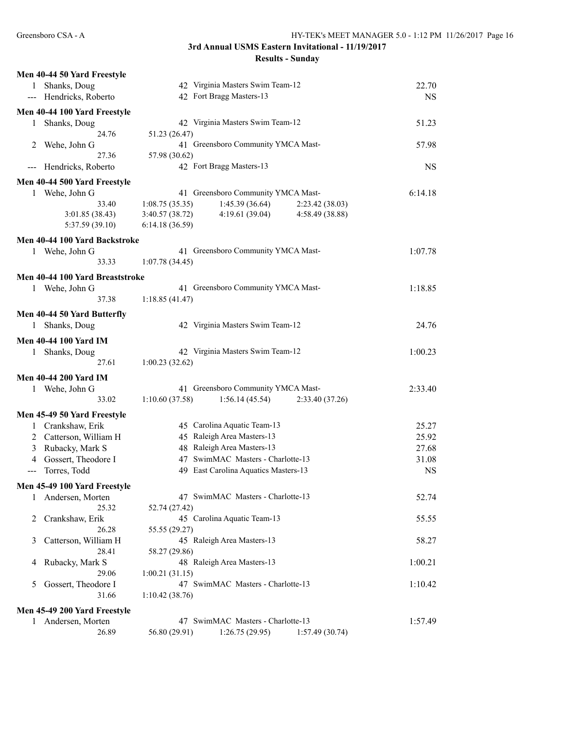|     | Men 40-44 50 Yard Freestyle     |                                                                                           |           |
|-----|---------------------------------|-------------------------------------------------------------------------------------------|-----------|
| 1   | Shanks, Doug                    | 42 Virginia Masters Swim Team-12                                                          | 22.70     |
|     | --- Hendricks, Roberto          | 42 Fort Bragg Masters-13                                                                  | <b>NS</b> |
|     | Men 40-44 100 Yard Freestyle    |                                                                                           |           |
| 1   | Shanks, Doug                    | 42 Virginia Masters Swim Team-12                                                          | 51.23     |
|     | 24.76                           | 51.23 (26.47)                                                                             |           |
| 2   | Wehe, John G                    | 41 Greensboro Community YMCA Mast-                                                        | 57.98     |
|     | 27.36                           | 57.98 (30.62)                                                                             |           |
| --- | Hendricks, Roberto              | 42 Fort Bragg Masters-13                                                                  | <b>NS</b> |
|     | Men 40-44 500 Yard Freestyle    |                                                                                           |           |
| 1   | Wehe, John G                    | 41 Greensboro Community YMCA Mast-                                                        | 6:14.18   |
|     | 33.40                           | 1:08.75(35.35)<br>1:45.39(36.64)<br>2:23.42 (38.03)                                       |           |
|     | 3:01.85 (38.43)                 | 3:40.57 (38.72)<br>4:19.61(39.04)<br>4:58.49 (38.88)                                      |           |
|     | 5:37.59 (39.10)                 | 6:14.18(36.59)                                                                            |           |
|     | Men 40-44 100 Yard Backstroke   |                                                                                           |           |
|     | 1 Wehe, John G                  | 41 Greensboro Community YMCA Mast-                                                        | 1:07.78   |
|     | 33.33                           | 1:07.78 (34.45)                                                                           |           |
|     |                                 |                                                                                           |           |
|     | Men 40-44 100 Yard Breaststroke |                                                                                           |           |
|     | 1 Wehe, John G                  | 41 Greensboro Community YMCA Mast-                                                        | 1:18.85   |
|     | 37.38                           | 1:18.85(41.47)                                                                            |           |
|     | Men 40-44 50 Yard Butterfly     |                                                                                           |           |
|     | 1 Shanks, Doug                  | 42 Virginia Masters Swim Team-12                                                          | 24.76     |
|     | <b>Men 40-44 100 Yard IM</b>    |                                                                                           |           |
|     | 1 Shanks, Doug                  | 42 Virginia Masters Swim Team-12                                                          | 1:00.23   |
|     | 27.61                           | 1:00.23(32.62)                                                                            |           |
|     |                                 |                                                                                           |           |
|     | <b>Men 40-44 200 Yard IM</b>    |                                                                                           |           |
|     | 1 Wehe, John G<br>33.02         | 41 Greensboro Community YMCA Mast-<br>1:10.60(37.58)<br>1:56.14(45.54)<br>2:33.40 (37.26) | 2:33.40   |
|     |                                 |                                                                                           |           |
|     | Men 45-49 50 Yard Freestyle     |                                                                                           |           |
|     | 1 Crankshaw, Erik               | 45 Carolina Aquatic Team-13                                                               | 25.27     |
|     | 2 Catterson, William H          | 45 Raleigh Area Masters-13                                                                | 25.92     |
| 3   | Rubacky, Mark S                 | 48 Raleigh Area Masters-13                                                                | 27.68     |
| 4   | Gossert, Theodore I             | 47 SwimMAC Masters - Charlotte-13                                                         | 31.08     |
| --- | Torres, Todd                    | 49 East Carolina Aquatics Masters-13                                                      | <b>NS</b> |
|     | Men 45-49 100 Yard Freestyle    |                                                                                           |           |
| 1   | Andersen, Morten                | 47 SwimMAC Masters - Charlotte-13                                                         | 52.74     |
|     | 25.32                           | 52.74 (27.42)                                                                             |           |
| 2   | Crankshaw, Erik                 | 45 Carolina Aquatic Team-13                                                               | 55.55     |
|     | 26.28                           | 55.55 (29.27)                                                                             |           |
| 3   | Catterson, William H            | 45 Raleigh Area Masters-13                                                                | 58.27     |
|     | 28.41                           | 58.27 (29.86)                                                                             |           |
| 4   | Rubacky, Mark S                 | 48 Raleigh Area Masters-13                                                                | 1:00.21   |
|     | 29.06                           | 1:00.21(31.15)                                                                            |           |
| 5   | Gossert, Theodore I             | 47 SwimMAC Masters - Charlotte-13                                                         | 1:10.42   |
|     | 31.66                           | 1:10.42(38.76)                                                                            |           |
|     | Men 45-49 200 Yard Freestyle    |                                                                                           |           |
| 1   | Andersen, Morten                | 47 SwimMAC Masters - Charlotte-13                                                         | 1:57.49   |
|     | 26.89                           | 56.80 (29.91)<br>1:26.75(29.95)<br>1:57.49(30.74)                                         |           |
|     |                                 |                                                                                           |           |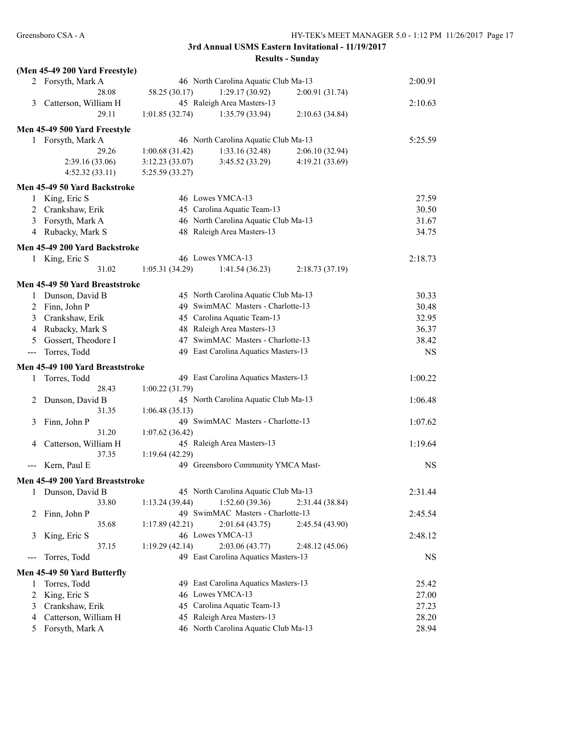|                     | (Men 45-49 200 Yard Freestyle)  |                                                        |           |
|---------------------|---------------------------------|--------------------------------------------------------|-----------|
|                     | 2 Forsyth, Mark A               | 46 North Carolina Aquatic Club Ma-13                   | 2:00.91   |
|                     | 28.08                           | 58.25 (30.17)<br>1:29.17(30.92)<br>2:00.91 (31.74)     |           |
| 3                   | Catterson, William H            | 45 Raleigh Area Masters-13                             | 2:10.63   |
|                     | 29.11                           | 1:01.85(32.74)<br>1:35.79 (33.94)<br>2:10.63(34.84)    |           |
|                     | Men 45-49 500 Yard Freestyle    |                                                        |           |
|                     | 1 Forsyth, Mark A               | 46 North Carolina Aquatic Club Ma-13                   | 5:25.59   |
|                     | 29.26                           | 1:33.16(32.48)<br>1:00.68(31.42)<br>2:06.10 (32.94)    |           |
|                     | 2:39.16(33.06)                  | 3:12.23(33.07)<br>3:45.52(33.29)<br>4:19.21 (33.69)    |           |
|                     | 4:52.32(33.11)                  | 5:25.59 (33.27)                                        |           |
|                     | Men 45-49 50 Yard Backstroke    |                                                        |           |
| 1                   | King, Eric S                    | 46 Lowes YMCA-13                                       | 27.59     |
| 2                   | Crankshaw, Erik                 | 45 Carolina Aquatic Team-13                            | 30.50     |
| 3                   | Forsyth, Mark A                 | 46 North Carolina Aquatic Club Ma-13                   | 31.67     |
|                     | 4 Rubacky, Mark S               | 48 Raleigh Area Masters-13                             | 34.75     |
|                     |                                 |                                                        |           |
|                     | Men 45-49 200 Yard Backstroke   |                                                        |           |
|                     | 1 King, Eric S                  | 46 Lowes YMCA-13                                       | 2:18.73   |
|                     | 31.02                           | 1:05.31(34.29)<br>1:41.54(36.23)<br>2:18.73(37.19)     |           |
|                     | Men 45-49 50 Yard Breaststroke  |                                                        |           |
|                     | 1 Dunson, David B               | 45 North Carolina Aquatic Club Ma-13                   | 30.33     |
| $\overline{2}$      | Finn, John P                    | 49 SwimMAC Masters - Charlotte-13                      | 30.48     |
|                     | 3 Crankshaw, Erik               | 45 Carolina Aquatic Team-13                            | 32.95     |
| 4                   | Rubacky, Mark S                 | 48 Raleigh Area Masters-13                             | 36.37     |
| 5                   | Gossert, Theodore I             | 47 SwimMAC Masters - Charlotte-13                      | 38.42     |
| $\qquad \qquad - -$ | Torres, Todd                    | 49 East Carolina Aquatics Masters-13                   | <b>NS</b> |
|                     | Men 45-49 100 Yard Breaststroke |                                                        |           |
| 1                   | Torres, Todd                    | 49 East Carolina Aquatics Masters-13                   | 1:00.22   |
|                     | 28.43                           | 1:00.22(31.79)                                         |           |
| 2                   | Dunson, David B                 | 45 North Carolina Aquatic Club Ma-13                   | 1:06.48   |
|                     | 31.35                           | 1:06.48(35.13)                                         |           |
| 3                   | Finn, John P                    | 49 SwimMAC Masters - Charlotte-13                      | 1:07.62   |
|                     | 31.20                           | 1:07.62(36.42)                                         |           |
| 4                   | Catterson, William H            | 45 Raleigh Area Masters-13                             | 1:19.64   |
|                     | 37.35                           | 1:19.64(42.29)                                         |           |
|                     | Kern, Paul E                    | 49 Greensboro Community YMCA Mast-                     | <b>NS</b> |
|                     |                                 |                                                        |           |
|                     | Men 45-49 200 Yard Breaststroke |                                                        |           |
| 1                   | Dunson, David B                 | 45 North Carolina Aquatic Club Ma-13                   | 2:31.44   |
|                     | 33.80                           | 1:52.60(39.36)<br>1:13.24(39.44)<br>2:31.44 (38.84)    |           |
| 2                   | Finn, John P                    | 49 SwimMAC Masters - Charlotte-13                      | 2:45.54   |
|                     | 35.68                           | 2:01.64(43.75)<br>1:17.89(42.21)<br>2:45.54(43.90)     |           |
| 3                   | King, Eric S<br>37.15           | 46 Lowes YMCA-13<br>2:03.06(43.77)<br>1:19.29(42.14)   | 2:48.12   |
|                     | Torres, Todd                    | 2:48.12(45.06)<br>49 East Carolina Aquatics Masters-13 | <b>NS</b> |
|                     |                                 |                                                        |           |
|                     | Men 45-49 50 Yard Butterfly     |                                                        |           |
| 1                   | Torres, Todd                    | 49 East Carolina Aquatics Masters-13                   | 25.42     |
| 2                   | King, Eric S                    | 46 Lowes YMCA-13                                       | 27.00     |
| 3                   | Crankshaw, Erik                 | 45 Carolina Aquatic Team-13                            | 27.23     |
| 4                   | Catterson, William H            | 45 Raleigh Area Masters-13                             | 28.20     |
| 5                   | Forsyth, Mark A                 | 46 North Carolina Aquatic Club Ma-13                   | 28.94     |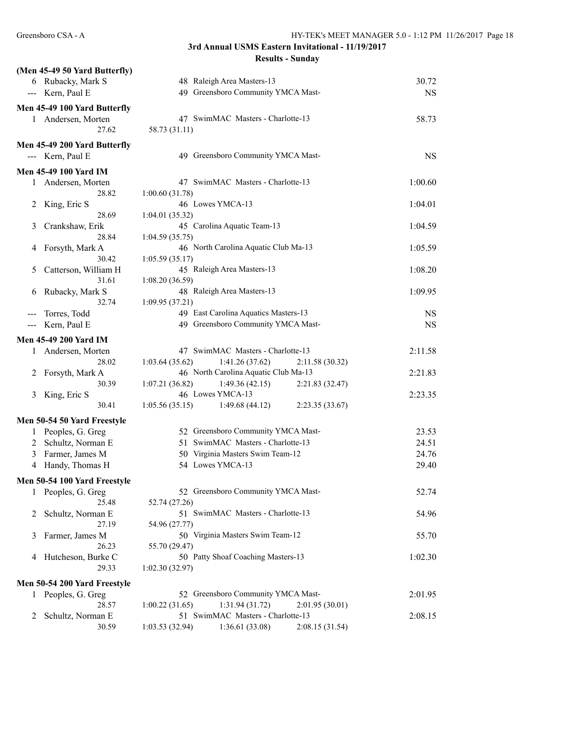|   | (Men 45-49 50 Yard Butterfly) |                                                      |           |
|---|-------------------------------|------------------------------------------------------|-----------|
|   | 6 Rubacky, Mark S             | 48 Raleigh Area Masters-13                           | 30.72     |
|   | --- Kern, Paul E              | 49 Greensboro Community YMCA Mast-                   | <b>NS</b> |
|   | Men 45-49 100 Yard Butterfly  |                                                      |           |
|   | 1 Andersen, Morten            | 47 SwimMAC Masters - Charlotte-13                    | 58.73     |
|   | 27.62                         | 58.73 (31.11)                                        |           |
|   | Men 45-49 200 Yard Butterfly  |                                                      |           |
|   | --- Kern, Paul E              | 49 Greensboro Community YMCA Mast-                   | <b>NS</b> |
|   | <b>Men 45-49 100 Yard IM</b>  |                                                      |           |
|   | 1 Andersen, Morten            | 47 SwimMAC Masters - Charlotte-13                    | 1:00.60   |
|   | 28.82                         | 1:00.60(31.78)                                       |           |
| 2 | King, Eric S                  | 46 Lowes YMCA-13                                     | 1:04.01   |
|   | 28.69                         | 1:04.01(35.32)                                       |           |
| 3 | Crankshaw, Erik               | 45 Carolina Aquatic Team-13                          | 1:04.59   |
|   | 28.84                         | 1:04.59(35.75)                                       |           |
| 4 | Forsyth, Mark A               | 46 North Carolina Aquatic Club Ma-13                 | 1:05.59   |
|   | 30.42                         | 1:05.59(35.17)                                       |           |
| 5 | Catterson, William H          | 45 Raleigh Area Masters-13                           | 1:08.20   |
|   | 31.61                         | 1:08.20(36.59)                                       |           |
| 6 | Rubacky, Mark S               | 48 Raleigh Area Masters-13                           | 1:09.95   |
|   | 32.74                         | 1:09.95 (37.21)                                      |           |
|   | Torres, Todd                  | 49 East Carolina Aquatics Masters-13                 | <b>NS</b> |
|   | Kern, Paul E                  | 49 Greensboro Community YMCA Mast-                   | <b>NS</b> |
|   | Men 45-49 200 Yard IM         |                                                      |           |
| 1 | Andersen, Morten              | 47 SwimMAC Masters - Charlotte-13                    | 2:11.58   |
|   | 28.02                         | 1:03.64(35.62)<br>1:41.26(37.62)<br>2:11.58(30.32)   |           |
| 2 | Forsyth, Mark A               | 46 North Carolina Aquatic Club Ma-13                 | 2:21.83   |
|   | 30.39                         | 1:49.36(42.15)<br>1:07.21(36.82)<br>2:21.83(32.47)   |           |
| 3 | King, Eric S                  | 46 Lowes YMCA-13                                     | 2:23.35   |
|   | 30.41                         | 1:49.68(44.12)<br>1:05.56(35.15)<br>2:23.35(33.67)   |           |
|   | Men 50-54 50 Yard Freestyle   |                                                      |           |
|   | 1 Peoples, G. Greg            | 52 Greensboro Community YMCA Mast-                   | 23.53     |
|   | 2 Schultz, Norman E           | 51 SwimMAC Masters - Charlotte-13                    | 24.51     |
| 3 | Farmer, James M               | 50 Virginia Masters Swim Team-12                     | 24.76     |
|   | 4 Handy, Thomas H             | 54 Lowes YMCA-13                                     | 29.40     |
|   |                               |                                                      |           |
|   | Men 50-54 100 Yard Freestyle  |                                                      |           |
| 1 | Peoples, G. Greg              | 52 Greensboro Community YMCA Mast-                   | 52.74     |
|   | 25.48                         | 52.74 (27.26)                                        |           |
| 2 | Schultz, Norman E             | 51 SwimMAC Masters - Charlotte-13                    | 54.96     |
|   | 27.19                         | 54.96 (27.77)                                        |           |
| 3 | Farmer, James M               | 50 Virginia Masters Swim Team-12                     | 55.70     |
|   | 26.23                         | 55.70 (29.47)                                        |           |
| 4 | Hutcheson, Burke C            | 50 Patty Shoaf Coaching Masters-13                   | 1:02.30   |
|   | 29.33                         | 1:02.30(32.97)                                       |           |
|   | Men 50-54 200 Yard Freestyle  |                                                      |           |
|   | 1 Peoples, G. Greg            | 52 Greensboro Community YMCA Mast-                   | 2:01.95   |
|   | 28.57                         | 1:31.94(31.72)<br>1:00.22(31.65)<br>2:01.95(30.01)   |           |
| 2 | Schultz, Norman E             | 51 SwimMAC Masters - Charlotte-13                    | 2:08.15   |
|   | 30.59                         | 1:03.53 (32.94)<br>1:36.61 (33.08)<br>2:08.15(31.54) |           |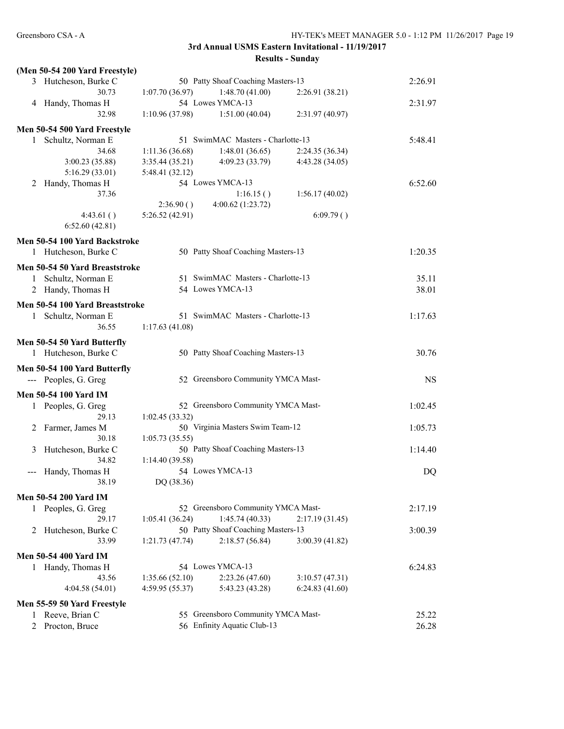|                            | (Men 50-54 200 Yard Freestyle)  |                 |                                    |                 |           |
|----------------------------|---------------------------------|-----------------|------------------------------------|-----------------|-----------|
|                            | 3 Hutcheson, Burke C            |                 | 50 Patty Shoaf Coaching Masters-13 |                 | 2:26.91   |
|                            | 30.73                           | 1:07.70(36.97)  | 1:48.70(41.00)                     | 2:26.91 (38.21) |           |
|                            | 4 Handy, Thomas H               |                 | 54 Lowes YMCA-13                   |                 | 2:31.97   |
|                            | 32.98                           | 1:10.96 (37.98) | 1:51.00(40.04)                     | 2:31.97(40.97)  |           |
|                            | Men 50-54 500 Yard Freestyle    |                 |                                    |                 |           |
|                            | 1 Schultz, Norman E             |                 | 51 SwimMAC Masters - Charlotte-13  |                 | 5:48.41   |
|                            | 34.68                           | 1:11.36(36.68)  | 1:48.01(36.65)                     | 2:24.35 (36.34) |           |
|                            | 3:00.23 (35.88)                 | 3:35.44(35.21)  | 4:09.23(33.79)                     | 4:43.28(34.05)  |           |
|                            | 5:16.29(33.01)                  | 5:48.41 (32.12) |                                    |                 |           |
| 2                          | Handy, Thomas H                 |                 | 54 Lowes YMCA-13                   |                 | 6:52.60   |
|                            | 37.36                           |                 | 1:16.15()                          | 1:56.17(40.02)  |           |
|                            |                                 | 2:36.90()       | 4:00.62 (1:23.72)                  |                 |           |
|                            | 4:43.61()                       | 5:26.52(42.91)  |                                    | 6:09.79()       |           |
|                            | 6:52.60(42.81)                  |                 |                                    |                 |           |
|                            |                                 |                 |                                    |                 |           |
|                            | Men 50-54 100 Yard Backstroke   |                 |                                    |                 |           |
|                            | 1 Hutcheson, Burke C            |                 | 50 Patty Shoaf Coaching Masters-13 |                 | 1:20.35   |
|                            | Men 50-54 50 Yard Breaststroke  |                 |                                    |                 |           |
|                            | 1 Schultz, Norman E             |                 | 51 SwimMAC Masters - Charlotte-13  |                 | 35.11     |
|                            | 2 Handy, Thomas H               |                 | 54 Lowes YMCA-13                   |                 | 38.01     |
|                            |                                 |                 |                                    |                 |           |
|                            | Men 50-54 100 Yard Breaststroke |                 |                                    |                 |           |
|                            | 1 Schultz, Norman E             |                 | 51 SwimMAC Masters - Charlotte-13  |                 | 1:17.63   |
|                            | 36.55                           | 1:17.63(41.08)  |                                    |                 |           |
|                            | Men 50-54 50 Yard Butterfly     |                 |                                    |                 |           |
|                            | 1 Hutcheson, Burke C            |                 | 50 Patty Shoaf Coaching Masters-13 |                 | 30.76     |
|                            |                                 |                 |                                    |                 |           |
|                            | Men 50-54 100 Yard Butterfly    |                 |                                    |                 |           |
|                            | --- Peoples, G. Greg            |                 | 52 Greensboro Community YMCA Mast- |                 | <b>NS</b> |
|                            | <b>Men 50-54 100 Yard IM</b>    |                 |                                    |                 |           |
|                            | 1 Peoples, G. Greg              |                 | 52 Greensboro Community YMCA Mast- |                 | 1:02.45   |
|                            | 29.13                           | 1:02.45(33.32)  |                                    |                 |           |
| 2                          | Farmer, James M                 |                 | 50 Virginia Masters Swim Team-12   |                 | 1:05.73   |
|                            | 30.18                           | 1:05.73(35.55)  |                                    |                 |           |
| 3                          | Hutcheson, Burke C              |                 | 50 Patty Shoaf Coaching Masters-13 |                 | 1:14.40   |
|                            | 34.82                           | 1:14.40(39.58)  |                                    |                 |           |
| $\qquad \qquad - \qquad -$ | Handy, Thomas H                 |                 | 54 Lowes YMCA-13                   |                 | DQ        |
|                            | 38.19                           | DQ (38.36)      |                                    |                 |           |
|                            |                                 |                 |                                    |                 |           |
|                            | Men 50-54 200 Yard IM           |                 |                                    |                 |           |
|                            | 1 Peoples, G. Greg              |                 | 52 Greensboro Community YMCA Mast- |                 | 2:17.19   |
|                            | 29.17                           | 1:05.41(36.24)  | 1:45.74(40.33)                     | 2:17.19(31.45)  |           |
| 2                          | Hutcheson, Burke C              |                 | 50 Patty Shoaf Coaching Masters-13 |                 | 3:00.39   |
|                            | 33.99                           | 1:21.73(47.74)  | 2:18.57(56.84)                     | 3:00.39(41.82)  |           |
|                            | <b>Men 50-54 400 Yard IM</b>    |                 |                                    |                 |           |
|                            | 1 Handy, Thomas H               |                 | 54 Lowes YMCA-13                   |                 | 6:24.83   |
|                            | 43.56                           | 1:35.66(52.10)  | 2:23.26(47.60)                     | 3:10.57(47.31)  |           |
|                            | 4:04.58(54.01)                  | 4:59.95 (55.37) | 5:43.23 (43.28)                    | 6:24.83(41.60)  |           |
|                            |                                 |                 |                                    |                 |           |
|                            | Men 55-59 50 Yard Freestyle     |                 |                                    |                 |           |
| 1                          | Reeve, Brian C                  |                 | 55 Greensboro Community YMCA Mast- |                 | 25.22     |
| $\overline{2}$             | Procton, Bruce                  |                 | 56 Enfinity Aquatic Club-13        |                 | 26.28     |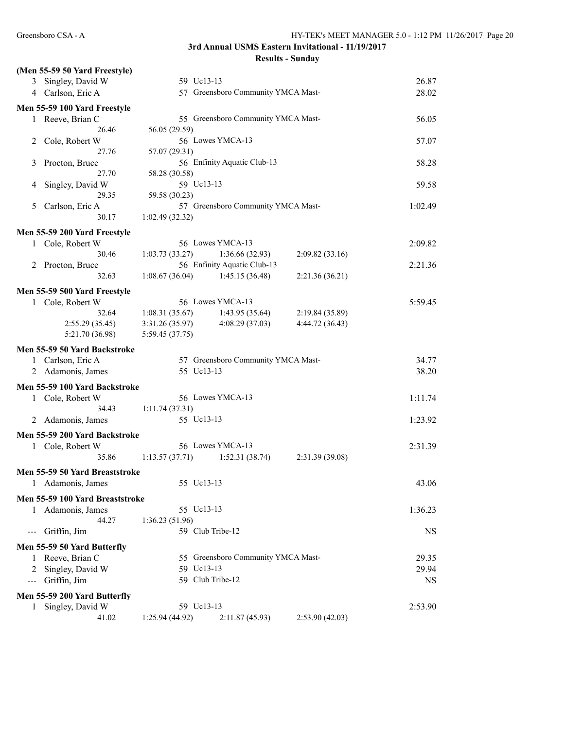**Results - Sunday**

|                     | (Men 55-59 50 Yard Freestyle)                    |                 |                                    |                 |         |
|---------------------|--------------------------------------------------|-----------------|------------------------------------|-----------------|---------|
|                     | 3 Singley, David W                               |                 | 59 Uc13-13                         |                 | 26.87   |
|                     | 4 Carlson, Eric A                                |                 | 57 Greensboro Community YMCA Mast- |                 | 28.02   |
|                     | Men 55-59 100 Yard Freestyle                     |                 |                                    |                 |         |
|                     | 1 Reeve, Brian C                                 |                 | 55 Greensboro Community YMCA Mast- |                 | 56.05   |
|                     | 26.46                                            | 56.05 (29.59)   |                                    |                 |         |
| 2                   | Cole, Robert W                                   |                 | 56 Lowes YMCA-13                   |                 | 57.07   |
|                     | 27.76                                            | 57.07 (29.31)   |                                    |                 |         |
| 3                   | Procton, Bruce                                   |                 | 56 Enfinity Aquatic Club-13        |                 | 58.28   |
|                     | 27.70                                            | 58.28 (30.58)   |                                    |                 |         |
| 4                   | Singley, David W                                 |                 | 59 Uc13-13                         |                 | 59.58   |
|                     | 29.35                                            | 59.58 (30.23)   |                                    |                 |         |
| 5                   | Carlson, Eric A                                  |                 | 57 Greensboro Community YMCA Mast- |                 | 1:02.49 |
|                     | 30.17                                            | 1:02.49(32.32)  |                                    |                 |         |
|                     | Men 55-59 200 Yard Freestyle                     |                 |                                    |                 |         |
| 1                   | Cole, Robert W                                   |                 | 56 Lowes YMCA-13                   |                 | 2:09.82 |
|                     | 30.46                                            | 1:03.73(33.27)  | 1:36.66(32.93)                     | 2:09.82(33.16)  |         |
| 2                   | Procton, Bruce                                   |                 | 56 Enfinity Aquatic Club-13        |                 | 2:21.36 |
|                     | 32.63                                            | 1:08.67(36.04)  | 1:45.15(36.48)                     | 2:21.36(36.21)  |         |
|                     | Men 55-59 500 Yard Freestyle                     |                 |                                    |                 |         |
|                     | 1 Cole, Robert W                                 |                 | 56 Lowes YMCA-13                   |                 | 5:59.45 |
|                     | 32.64                                            | 1:08.31(35.67)  | 1:43.95(35.64)                     | 2:19.84(35.89)  |         |
|                     | 2:55.29(35.45)                                   | 3:31.26(35.97)  | 4:08.29(37.03)                     | 4:44.72 (36.43) |         |
|                     | 5:21.70 (36.98)                                  | 5:59.45 (37.75) |                                    |                 |         |
|                     |                                                  |                 |                                    |                 |         |
|                     | Men 55-59 50 Yard Backstroke                     |                 |                                    |                 |         |
|                     | Carlson, Eric A                                  |                 | 57 Greensboro Community YMCA Mast- |                 | 34.77   |
|                     | 2 Adamonis, James                                |                 | 55 Uc13-13                         |                 | 38.20   |
|                     | Men 55-59 100 Yard Backstroke                    |                 |                                    |                 |         |
| 1                   | Cole, Robert W                                   |                 | 56 Lowes YMCA-13                   |                 | 1:11.74 |
|                     | 34.43                                            | 1:11.74(37.31)  |                                    |                 |         |
| 2                   | Adamonis, James                                  |                 | 55 Uc13-13                         |                 | 1:23.92 |
|                     | Men 55-59 200 Yard Backstroke                    |                 |                                    |                 |         |
|                     | 1 Cole, Robert W                                 |                 | 56 Lowes YMCA-13                   |                 | 2:31.39 |
|                     | 35.86                                            | 1:13.57(37.71)  | 1:52.31(38.74)                     | 2:31.39 (39.08) |         |
|                     | Men 55-59 50 Yard Breaststroke                   |                 |                                    |                 |         |
|                     | Adamonis, James                                  |                 | 55 Uc13-13                         |                 | 43.06   |
|                     |                                                  |                 |                                    |                 |         |
|                     | Men 55-59 100 Yard Breaststroke                  |                 |                                    |                 |         |
| 1                   | Adamonis, James                                  |                 | 55 Uc13-13                         |                 | 1:36.23 |
|                     | 44.27                                            | 1:36.23(51.96)  |                                    |                 |         |
|                     |                                                  |                 | 59 Club Tribe-12                   |                 | NS.     |
| $--$                | Griffin, Jim                                     |                 |                                    |                 |         |
|                     | Men 55-59 50 Yard Butterfly                      |                 |                                    |                 |         |
| 1                   | Reeve, Brian C                                   |                 | 55 Greensboro Community YMCA Mast- |                 | 29.35   |
|                     | 2 Singley, David W                               |                 | 59 Uc13-13                         |                 | 29.94   |
| $\qquad \qquad - -$ | Griffin, Jim                                     |                 | 59 Club Tribe-12                   |                 | NS.     |
|                     |                                                  |                 |                                    |                 |         |
| $\mathbf{1}$        | Men 55-59 200 Yard Butterfly<br>Singley, David W |                 | 59 Uc13-13                         |                 | 2:53.90 |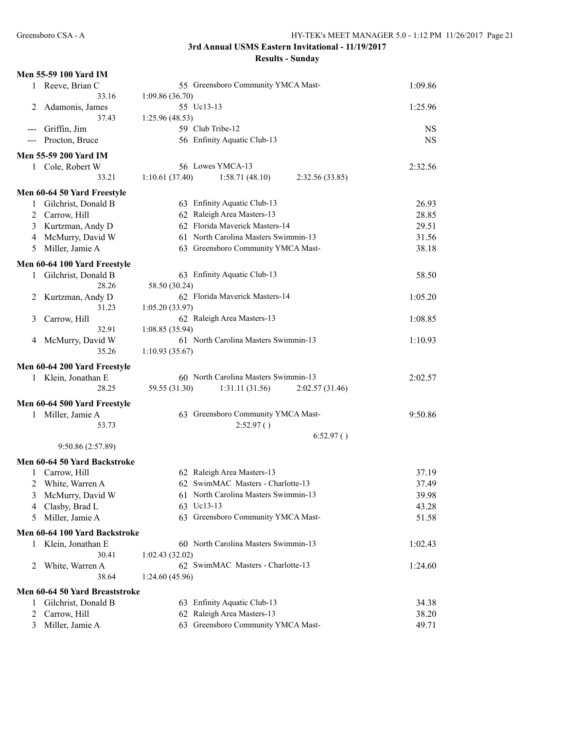|                | Men 55-59 100 Yard IM          |                                                     |           |
|----------------|--------------------------------|-----------------------------------------------------|-----------|
| 1              | Reeve, Brian C                 | 55 Greensboro Community YMCA Mast-                  | 1:09.86   |
|                | 33.16                          | 1:09.86(36.70)                                      |           |
| 2              | Adamonis, James                | 55 Uc13-13                                          | 1:25.96   |
|                | 37.43                          | 1:25.96(48.53)                                      |           |
| $---$          | Griffin, Jim                   | 59 Club Tribe-12                                    | <b>NS</b> |
| $--$           | Procton, Bruce                 | 56 Enfinity Aquatic Club-13                         | <b>NS</b> |
|                | <b>Men 55-59 200 Yard IM</b>   |                                                     |           |
|                | 1 Cole, Robert W               | 56 Lowes YMCA-13                                    | 2:32.56   |
|                | 33.21                          | 1:10.61(37.40)<br>1:58.71(48.10)<br>2:32.56 (33.85) |           |
|                | Men 60-64 50 Yard Freestyle    |                                                     |           |
| 1              | Gilchrist, Donald B            | 63 Enfinity Aquatic Club-13                         | 26.93     |
| $\overline{c}$ | Carrow, Hill                   | 62 Raleigh Area Masters-13                          | 28.85     |
| 3              | Kurtzman, Andy D               | 62 Florida Maverick Masters-14                      | 29.51     |
|                |                                | 61 North Carolina Masters Swimmin-13                |           |
| 4              | McMurry, David W               | 63 Greensboro Community YMCA Mast-                  | 31.56     |
| 5              | Miller, Jamie A                |                                                     | 38.18     |
|                | Men 60-64 100 Yard Freestyle   |                                                     |           |
| $\mathbf{1}$   | Gilchrist, Donald B            | 63 Enfinity Aquatic Club-13                         | 58.50     |
|                | 28.26                          | 58.50 (30.24)                                       |           |
| 2              | Kurtzman, Andy D               | 62 Florida Maverick Masters-14                      | 1:05.20   |
|                | 31.23                          | 1:05.20(33.97)                                      |           |
| 3              | Carrow, Hill                   | 62 Raleigh Area Masters-13                          | 1:08.85   |
|                | 32.91                          | 1:08.85(35.94)                                      |           |
| 4              | McMurry, David W               | 61 North Carolina Masters Swimmin-13                | 1:10.93   |
|                | 35.26                          | 1:10.93(35.67)                                      |           |
|                | Men 60-64 200 Yard Freestyle   |                                                     |           |
|                | 1 Klein, Jonathan E            | 60 North Carolina Masters Swimmin-13                | 2:02.57   |
|                | 28.25                          | 59.55 (31.30)<br>1:31.11(31.56)<br>2:02.57(31.46)   |           |
|                | Men 60-64 500 Yard Freestyle   |                                                     |           |
|                | 1 Miller, Jamie A              | 63 Greensboro Community YMCA Mast-                  | 9:50.86   |
|                | 53.73                          | 2:52.97()                                           |           |
|                |                                | 6:52.97()                                           |           |
|                | 9:50.86 (2:57.89)              |                                                     |           |
|                |                                |                                                     |           |
|                | Men 60-64 50 Yard Backstroke   |                                                     |           |
|                | 1 Carrow, Hill                 | 62 Raleigh Area Masters-13                          | 37.19     |
|                | 2 White, Warren A              | 62 SwimMAC Masters - Charlotte-13                   | 37.49     |
| 3              | McMurry, David W               | 61 North Carolina Masters Swimmin-13                | 39.98     |
| 4              | Clasby, Brad L                 | 63 Uc13-13                                          | 43.28     |
| 5              | Miller, Jamie A                | 63 Greensboro Community YMCA Mast-                  | 51.58     |
|                | Men 60-64 100 Yard Backstroke  |                                                     |           |
| 1              | Klein, Jonathan E              | 60 North Carolina Masters Swimmin-13                | 1:02.43   |
|                | 30.41                          | 1:02.43(32.02)                                      |           |
| 2              | White, Warren A                | 62 SwimMAC Masters - Charlotte-13                   | 1:24.60   |
|                | 38.64                          | 1:24.60(45.96)                                      |           |
|                | Men 60-64 50 Yard Breaststroke |                                                     |           |
| 1              | Gilchrist, Donald B            | 63 Enfinity Aquatic Club-13                         | 34.38     |
| 2              | Carrow, Hill                   | 62 Raleigh Area Masters-13                          | 38.20     |
| 3              | Miller, Jamie A                | 63 Greensboro Community YMCA Mast-                  | 49.71     |
|                |                                |                                                     |           |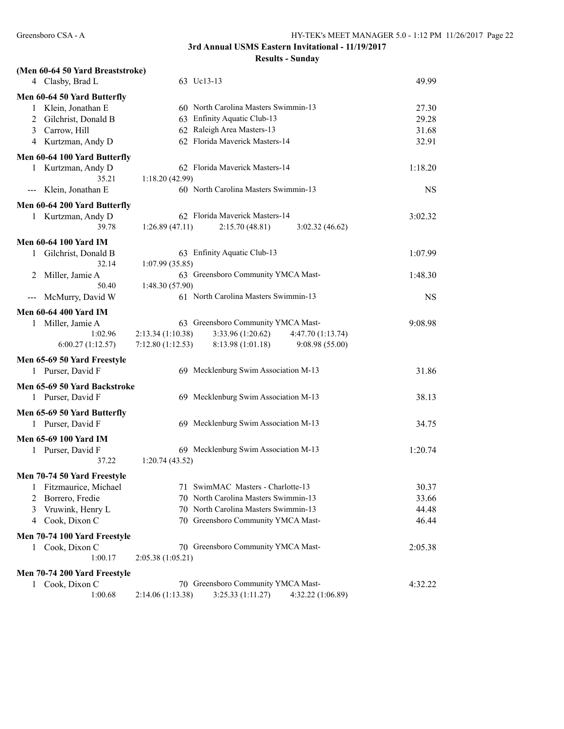| (Men 60-64 50 Yard Breaststroke) |                                                             |           |
|----------------------------------|-------------------------------------------------------------|-----------|
| 4 Clasby, Brad L                 | 63 Uc13-13                                                  | 49.99     |
| Men 60-64 50 Yard Butterfly      |                                                             |           |
| 1 Klein, Jonathan E              | 60 North Carolina Masters Swimmin-13                        | 27.30     |
| 2 Gilchrist, Donald B            | 63 Enfinity Aquatic Club-13                                 | 29.28     |
| 3 Carrow, Hill                   | 62 Raleigh Area Masters-13                                  | 31.68     |
| 4 Kurtzman, Andy D               | 62 Florida Maverick Masters-14                              | 32.91     |
| Men 60-64 100 Yard Butterfly     |                                                             |           |
| Kurtzman, Andy D<br>1            | 62 Florida Maverick Masters-14                              | 1:18.20   |
| 35.21                            | 1:18.20(42.99)                                              |           |
| Klein, Jonathan E<br>$--$        | 60 North Carolina Masters Swimmin-13                        | <b>NS</b> |
| Men 60-64 200 Yard Butterfly     |                                                             |           |
| 1 Kurtzman, Andy D               | 62 Florida Maverick Masters-14                              | 3:02.32   |
| 39.78                            | 1:26.89(47.11)<br>2:15.70(48.81)<br>3:02.32(46.62)          |           |
| <b>Men 60-64 100 Yard IM</b>     |                                                             |           |
| 1 Gilchrist, Donald B            | 63 Enfinity Aquatic Club-13                                 | 1:07.99   |
| 32.14                            | 1:07.99(35.85)                                              |           |
| Miller, Jamie A<br>2             | 63 Greensboro Community YMCA Mast-                          | 1:48.30   |
| 50.40                            | 1:48.30 (57.90)                                             |           |
| McMurry, David W<br>---          | 61 North Carolina Masters Swimmin-13                        | <b>NS</b> |
| <b>Men 60-64 400 Yard IM</b>     |                                                             |           |
| Miller, Jamie A<br>1             | 63 Greensboro Community YMCA Mast-                          | 9:08.98   |
| 1:02.96                          | 2:13.34 (1:10.38)<br>3:33.96 (1:20.62)<br>4:47.70 (1:13.74) |           |
| 6:00.27(1:12.57)                 | 7:12.80(1:12.53)<br>8:13.98 (1:01.18)<br>9:08.98 (55.00)    |           |
| Men 65-69 50 Yard Freestyle      |                                                             |           |
| 1 Purser, David F                | 69 Mecklenburg Swim Association M-13                        | 31.86     |
| Men 65-69 50 Yard Backstroke     |                                                             |           |
| 1 Purser, David F                | 69 Mecklenburg Swim Association M-13                        | 38.13     |
| Men 65-69 50 Yard Butterfly      |                                                             |           |
| 1 Purser, David F                | 69 Mecklenburg Swim Association M-13                        | 34.75     |
|                                  |                                                             |           |
| Men 65-69 100 Yard IM            |                                                             |           |
| 1 Purser, David F                | 69 Mecklenburg Swim Association M-13                        | 1:20.74   |
| 37.22                            | 1:20.74(43.52)                                              |           |
| Men 70-74 50 Yard Freestyle      |                                                             |           |
| Fitzmaurice, Michael<br>1        | 71 SwimMAC Masters - Charlotte-13                           | 30.37     |
| Borrero, Fredie<br>2             | North Carolina Masters Swimmin-13<br>70                     | 33.66     |
| Vruwink, Henry L<br>3            | 70 North Carolina Masters Swimmin-13                        | 44.48     |
| Cook, Dixon C<br>4               | 70 Greensboro Community YMCA Mast-                          | 46.44     |
| Men 70-74 100 Yard Freestyle     |                                                             |           |
| Cook, Dixon C<br>1               | 70 Greensboro Community YMCA Mast-                          | 2:05.38   |
| 1:00.17                          | 2:05.38(1:05.21)                                            |           |
| Men 70-74 200 Yard Freestyle     |                                                             |           |
| Cook, Dixon C<br>1               | 70 Greensboro Community YMCA Mast-                          | 4:32.22   |
| 1:00.68                          | 2:14.06 (1:13.38)<br>3:25.33 (1:11.27)<br>4:32.22 (1:06.89) |           |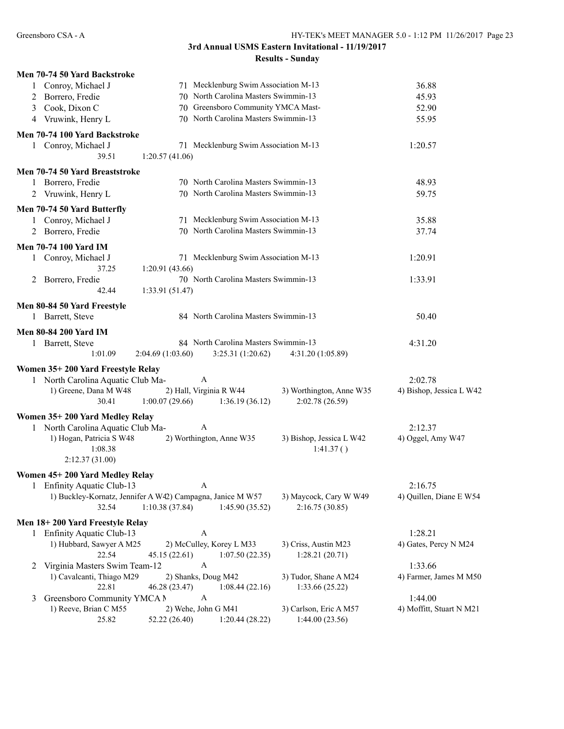| Men 70-74 50 Yard Backstroke                                                                                                              |                          |
|-------------------------------------------------------------------------------------------------------------------------------------------|--------------------------|
| 1 Conroy, Michael J<br>71 Mecklenburg Swim Association M-13                                                                               | 36.88                    |
| 70 North Carolina Masters Swimmin-13<br>2 Borrero, Fredie                                                                                 | 45.93                    |
| Cook, Dixon C<br>70 Greensboro Community YMCA Mast-<br>3                                                                                  | 52.90                    |
| 70 North Carolina Masters Swimmin-13<br>4 Vruwink, Henry L                                                                                | 55.95                    |
| Men 70-74 100 Yard Backstroke                                                                                                             |                          |
| 71 Mecklenburg Swim Association M-13<br>1 Conroy, Michael J                                                                               | 1:20.57                  |
| 39.51<br>1:20.57(41.06)                                                                                                                   |                          |
| Men 70-74 50 Yard Breaststroke                                                                                                            |                          |
| 70 North Carolina Masters Swimmin-13<br>1 Borrero, Fredie                                                                                 | 48.93                    |
| 70 North Carolina Masters Swimmin-13<br>2 Vruwink, Henry L                                                                                | 59.75                    |
|                                                                                                                                           |                          |
| Men 70-74 50 Yard Butterfly                                                                                                               |                          |
| 71 Mecklenburg Swim Association M-13<br>1 Conroy, Michael J                                                                               | 35.88                    |
| 70 North Carolina Masters Swimmin-13<br>2 Borrero, Fredie                                                                                 | 37.74                    |
| <b>Men 70-74 100 Yard IM</b>                                                                                                              |                          |
| 71 Mecklenburg Swim Association M-13<br>Conroy, Michael J<br>$\mathbf{1}$                                                                 | 1:20.91                  |
| 37.25<br>1:20.91(43.66)                                                                                                                   |                          |
| 70 North Carolina Masters Swimmin-13<br>2 Borrero, Fredie                                                                                 | 1:33.91                  |
| 42.44<br>1:33.91(51.47)                                                                                                                   |                          |
| Men 80-84 50 Yard Freestyle                                                                                                               |                          |
| 84 North Carolina Masters Swimmin-13<br>1 Barrett, Steve                                                                                  | 50.40                    |
|                                                                                                                                           |                          |
| <b>Men 80-84 200 Yard IM</b>                                                                                                              |                          |
| 84 North Carolina Masters Swimmin-13<br>Barrett, Steve                                                                                    | 4:31.20                  |
|                                                                                                                                           |                          |
| 1:01.09<br>2:04.69(1:03.60)<br>3:25.31(1:20.62)<br>4:31.20 (1:05.89)                                                                      |                          |
| Women 35+200 Yard Freestyle Relay                                                                                                         |                          |
| 1 North Carolina Aquatic Club Ma-<br>A                                                                                                    | 2:02.78                  |
| 1) Greene, Dana M W48<br>2) Hall, Virginia R W44<br>3) Worthington, Anne W35                                                              | 4) Bishop, Jessica L W42 |
| 1:00.07(29.66)<br>30.41<br>1:36.19(36.12)<br>2:02.78 (26.59)                                                                              |                          |
| Women 35+200 Yard Medley Relay                                                                                                            |                          |
| 1 North Carolina Aquatic Club Ma-<br>A                                                                                                    | 2:12.37                  |
| 1) Hogan, Patricia S W48<br>2) Worthington, Anne W35<br>3) Bishop, Jessica L W42                                                          | 4) Oggel, Amy W47        |
| 1:08.38<br>1:41.37()                                                                                                                      |                          |
| 2:12.37(31.00)                                                                                                                            |                          |
| Women 45+200 Yard Medley Relay                                                                                                            |                          |
| A<br>Enfinity Aquatic Club-13                                                                                                             | 2:16.75                  |
| 1) Buckley-Kornatz, Jennifer A W42) Campagna, Janice M W57<br>3) Maycock, Cary W W49                                                      | 4) Quillen, Diane E W54  |
| 1:10.38(37.84)<br>2:16.75(30.85)<br>32.54<br>1:45.90(35.52)                                                                               |                          |
|                                                                                                                                           |                          |
| Men 18+200 Yard Freestyle Relay<br>A                                                                                                      |                          |
| Enfinity Aquatic Club-13<br>1                                                                                                             | 1:28.21                  |
| 1) Hubbard, Sawyer A M25<br>2) McCulley, Korey L M33<br>3) Criss, Austin M23<br>22.54<br>1:07.50(22.35)<br>1:28.21(20.71)<br>45.15(22.61) | 4) Gates, Percy N M24    |
| Virginia Masters Swim Team-12<br>A<br>2                                                                                                   | 1:33.66                  |
| 1) Cavalcanti, Thiago M29<br>2) Shanks, Doug M42<br>3) Tudor, Shane A M24                                                                 | 4) Farmer, James M M50   |
| 22.81<br>46.28 (23.47)<br>1:33.66 (25.22)<br>1:08.44(22.16)                                                                               |                          |
| Greensboro Community YMCA N<br>A<br>3                                                                                                     | 1:44.00                  |
| 1) Reeve, Brian C M55<br>2) Wehe, John G M41<br>3) Carlson, Eric A M57<br>25.82<br>52.22 (26.40)<br>1:20.44(28.22)<br>1:44.00(23.56)      | 4) Moffitt, Stuart N M21 |